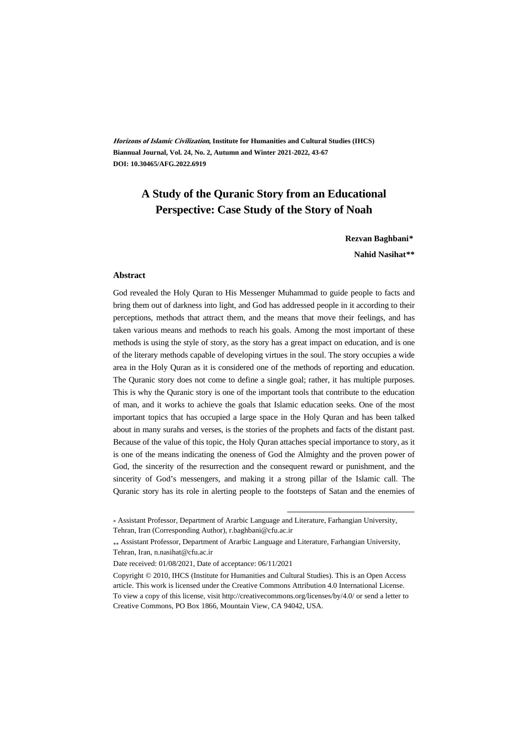**Horizons of Islamic Civilization, Institute for Humanities and Cultural Studies (IHCS) Biannual Journal, Vol. 24, No. 2, Autumn and Winter 2021-2022, 43-67 DOI: 10.30465/AFG.2022.6919**

## **A Study of the Quranic Story from an Educational Perspective: Case Study of the Story of Noah**

**Rezvan Baghbani\***

**Nahid Nasihat\*\*†**

#### **Abstract**

God revealed the Holy Quran to His Messenger Muhammad to guide people to facts and bring them out of darkness into light, and God has addressed people in it according to their perceptions, methods that attract them, and the means that move their feelings, and has taken various means and methods to reach his goals. Among the most important of these methods is using the style of story, as the story has a great impact on education, and is one of the literary methods capable of developing virtues in the soul. The story occupies a wide area in the Holy Quran as it is considered one of the methods of reporting and education. The Quranic story does not come to define a single goal; rather, it has multiple purposes. This is why the Quranic story is one of the important tools that contribute to the education of man, and it works to achieve the goals that Islamic education seeks. One of the most important topics that has occupied a large space in the Holy Quran and has been talked about in many surahs and verses, is the stories of the prophets and facts of the distant past. Because of the value of this topic, the Holy Quran attaches special importance to story, as it is one of the means indicating the oneness of God the Almighty and the proven power of God, the sincerity of the resurrection and the consequent reward or punishment, and the sincerity of God's messengers, and making it a strong pillar of the Islamic call. The Quranic story has its role in alerting people to the footsteps of Satan and the enemies of

.

<sup>\*</sup> Assistant Professor, Department of Ararbic Language and Literature, Farhangian University, Tehran, Iran (Corresponding Author), r.baghbani@cfu.ac.ir

Assistant Professor, Department of Ararbic Language and Literature, Farhangian University, Tehran, Iran, n.nasihat@cfu.ac.ir

Date received: 01/08/2021, Date of acceptance: 06/11/2021

Copyright © 2010, IHCS (Institute for Humanities and Cultural Studies). This is an Open Access article. This work is licensed under the Creative Commons Attribution 4.0 International License. To view a copy of this license, visit http://creativecommons.org/licenses/by/4.0/ or send a letter to Creative Commons, PO Box 1866, Mountain View, CA 94042, USA.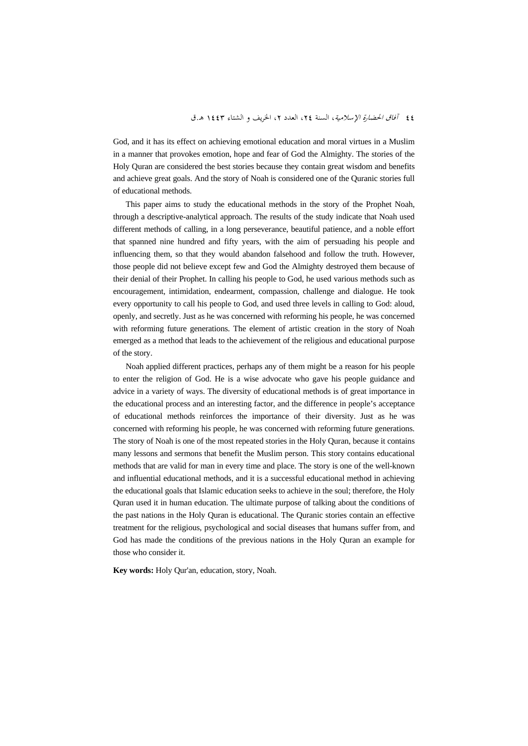God, and it has its effect on achieving emotional education and moral virtues in a Muslim in a manner that provokes emotion, hope and fear of God the Almighty. The stories of the Holy Quran are considered the best stories because they contain great wisdom and benefits and achieve great goals. And the story of Noah is considered one of the Quranic stories full of educational methods.

This paper aims to study the educational methods in the story of the Prophet Noah, through a descriptive-analytical approach. The results of the study indicate that Noah used different methods of calling, in a long perseverance, beautiful patience, and a noble effort that spanned nine hundred and fifty years, with the aim of persuading his people and influencing them, so that they would abandon falsehood and follow the truth. However, those people did not believe except few and God the Almighty destroyed them because of their denial of their Prophet. In calling his people to God, he used various methods such as encouragement, intimidation, endearment, compassion, challenge and dialogue. He took every opportunity to call his people to God, and used three levels in calling to God: aloud, openly, and secretly. Just as he was concerned with reforming his people, he was concerned with reforming future generations. The element of artistic creation in the story of Noah emerged as a method that leads to the achievement of the religious and educational purpose of the story.

Noah applied different practices, perhaps any of them might be a reason for his people to enter the religion of God. He is a wise advocate who gave his people guidance and advice in a variety of ways. The diversity of educational methods is of great importance in the educational process and an interesting factor, and the difference in people's acceptance of educational methods reinforces the importance of their diversity. Just as he was concerned with reforming his people, he was concerned with reforming future generations. The story of Noah is one of the most repeated stories in the Holy Quran, because it contains many lessons and sermons that benefit the Muslim person. This story contains educational methods that are valid for man in every time and place. The story is one of the well-known and influential educational methods, and it is a successful educational method in achieving the educational goals that Islamic education seeks to achieve in the soul; therefore, the Holy Quran used it in human education. The ultimate purpose of talking about the conditions of the past nations in the Holy Quran is educational. The Quranic stories contain an effective treatment for the religious, psychological and social diseases that humans suffer from, and God has made the conditions of the previous nations in the Holy Quran an example for those who consider it.

**Key words:** Holy Qur'an, education, story, Noah.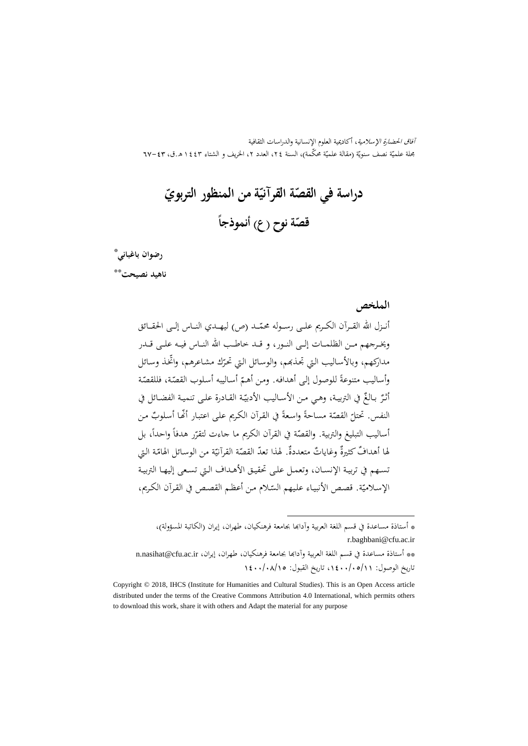آفاق الحضارة الإسلامية، أكاديمية العلوم الإنسانية والدراسات الثقافية بحلة علميّة نصف سنويّة (مقالة علميّة محکمة)، السنة ٢٤، العدد ٢، الخريف و الشتاء ١٤٤٣ هـ.ق، ٣٣-٦٧

**القصة ّ دراسة في ّ ة من المنظور التربوي ّ القرآني قص ّ ً ة نوح (ع) أنموذجا**

### ‡ \* **رضوان باغباني**

\*\* **ناهيد نصيحت**

**الملخص**

أنــزل الله القــرآن الكــريم علــى رســوله محمّــد (ص) ليهــدي النــاس إلــى الحقــائق<br>. ويخــرجهم مــن الظلمــات إلــی النــور، و قــد خاطــب االله النــاس فيــه علــی قــدر مداركهم، وبالأسـاليب التي تجـذبهم، والوسـائل التي تحرّك مشـاعرهم، واتخذ وسـائل وأساليب متنوعةً للوصول إلى أهدافه. ومن أهمّ أساليبه أسلوب القصّة، فللقصّة أثـرٌ بـالـغٌ في التربيـة، وهـي مـن الأسـاليب الأدبيّـة القـادرة علـى تنميـة الفضـائل في النفس. تحتلّ القصّة مساحةً واسعةً في القرآن الكريم على اعتبـار أنَّهـا أسلوبٌ من<br>. أساليب التبليغ والتربية. والقصّة في القرآن الكريم ما جاءت لتقرّر هدفاً واحداً، بل<br>. لها أهدافٌ كثيرةٌ وغاياتٌ متعددةٌ. لهذا تعدّ القصّة القرآنيّة من الوسائل الهامّة التي تسـهم في تربيـة الإنسـان، وتعمـل علـی تحقيـق الأهـداف الـتي تسـعی إليهـا التربيـة الإسلاميّة. قصـص الأنبيـاء عليهم السّلام مـن أعظـم القصـص في القـرآن الكـريم،

\* أستاذة مساعدة في قسم اللغة العربية وآداđا بجامعة فرهنکيان، طهران، إيران (الکاتبة المسؤولة)، r.baghbani@cfu.ac.ir

.

\*\* أستاذة مساعدة في قسم اللغة العربية وآدابحا بجامعة فرهنكيان، طهران، إيران، n.nasihat@cfu.ac.ir تاريخ الوصول: ،1400/05/11 تاريخ القبول: 1400/08/15

Copyright © 2018, IHCS (Institute for Humanities and Cultural Studies). This is an Open Access article distributed under the terms of the Creative Commons Attribution 4.0 International, which permits others to download this work, share it with others and Adapt the material for any purpose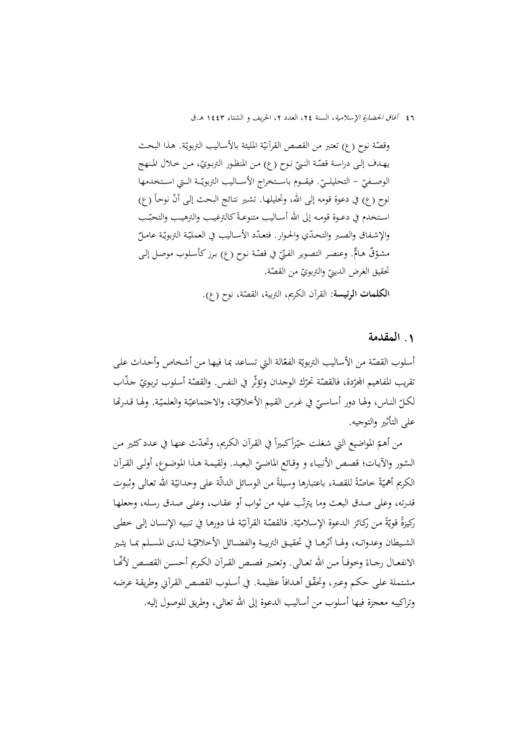وقصّة نوح (ع) تعتبر من القصص القرآنيّة المليئة بالأساليب التربويّة. هذا البحث يهـدف إلـى دراسـة قصّـة النبيّ نـوح (ع) مـن المنظـور التربـويّ، مـن خـلال المـنـهج<br>. الوصــفيّ – التحليلــيّ. فيقــوم باســتخراج الأســاليب التربويّــة الــتي اســتخدمها<br>-نوح (ع) في دعوة قومه إلى الله، وتحليلهـا. تشير نتائج البحث إلى أنّ نوحاً (ع) اسـتخدم في دعـوة قومــه إلى الله أســاليب متنوعـةً كالترغيـب والترهيـب والتحبّـب والإشفاق والصبر والتحدّي والحوار. فتعدّد الأسـاليب في العمليّة التربويّة عامـلٌ مشوّقٌ هـامٌّ. وعنصـر التصـوير الفـنّيّ في قصّة نـوح (ع) بـرز كـأسـلوب موصـل إلـى<br>. تحقيق الغرض الدينيّ والتربويّ من القصّة.<br>-

القرآن الکريم، التربية، القص ّ **الکلمات الرئيسة**: ة، نوح (ع).

## **.**1 **المقدمة**

أسلوب القصّة من الأساليب التربويّة الفعّالة التي تساعد بما فيها من أشخاص وأحداث على نقريب المفاهيم المجرّدة، فالقصّة تحرّك الوحدان وتؤثّر في النفس. والقصّة أسلوب تربويّ حذّاب<br>. لكـلّ النـاس، ولهـا دور أساسـيّ في غـرس القيم الأخلاقيّـة، والاجتماعيّـة والعلميّـة. ولهـا قـدرتَّفا<br>مسموّل علی التأثير والتوجيه.

من أهـمّ المواضيع التي شغلت حيّزاً كبيراً في القرآن الكريم، وتحدّث عنهـا في عـدد كثير من السّـور والأيـات؛ قصـص الأنبيـاء و وقـائع الماضـيّ البعيـد. ولقيمـة هـذا الموضـوع، أولـى القـرآن<br>-الکريم أهميّةً حاصّةً للقصة، باعتبارها وسيلةً من الوسائل الدالّة على وحدانيّة الله تعالى وثبوت قدرته، وعلى صدق البعث وما يترتّب عليه من ثواب أو عقاب، وعلى صدق رسله، وجعلها ركيزةً قويّةً من ركـائز الـدعوة الإسلاميّة. فالقصّة القرآنيّة لهـا دورهـا في تنبيه الإنسـان إلى خطى الشـيطان وعدواتـه، ولهـا أثرهـا في تحقيــق التربيــة والفضــائل الأخلاقيّـة لـدى المسـلم بمـا يثـير الانفعـال رجـاءً وخوفـاً مـن الله تعـالى. وتعتـبر قصـص القـرآن الكـريم أحسـن القصـص لأفّـا مشتملة على حكم وعبر، وتحقّق أهدافاً عظيمة. في أسلوب القصص القرآني وطريقة عرضه وتراكيبه معجزة فيها أسلوب من أساليب الدعوة إلى االله تعالی، وطريق للوصول إليه.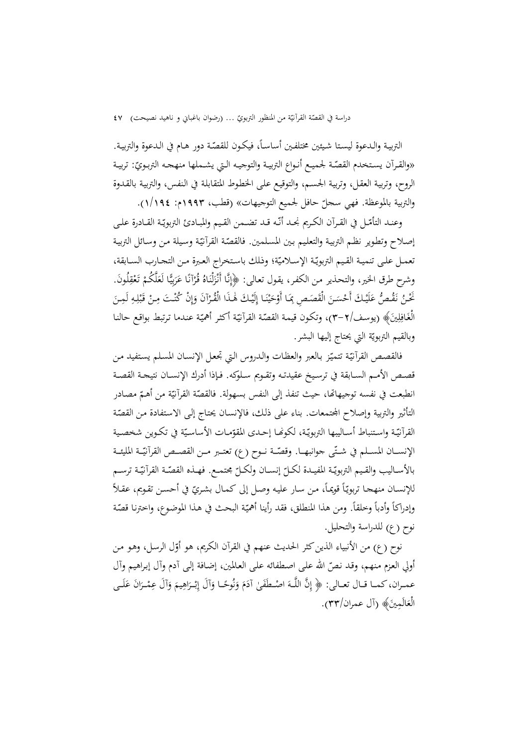دراسة في القصّة القرأنيّة من المنظور التربويّ … (رضوان باغباني و ناهيد نصيحت) ٤٧<br>-

التربيـة والـدعوة ليستا شيئين مختلفـين أساسـاً، فيكـون للقصّـة دور هـام في الـدعوة والتربيـة.<br>. «والقـرآن يسـتخدم القصّـة لحميـع أنـواع التربيـة والتوجيـه الـتي يشـملها منهجـه التربـويّ: تربيـة الروح، وتربيـة العقـل، وتربيـة الجسـم، والتوقيـع علـی الخطـوط المتقابلـة في الـنفس، والتربيـة بالقـدوة والتربية بالموعظة. فهي سجلّ حافل لجميع التوجيهات» (قطب، ١٩٩٣م: ١/١٩٤).

وعنـد التأمّـل في القـرآن الكـريم نجـد أنّـه قـد تضـمن القـيم والمبـادئ التربويّـة القـادرة علـي إصلاح وتطوير نظم التربية والتعليم بين المسلمين. فالقصّة القرآنيّة وسيلة من وسائل التربية تعمـل علـى تنميـة القـيم التربويّـة الإسـلاميّة؛ وذلك باسـتخراج العـبرة مـن التحـارب السـابقة،<br>. وشرح طرق الخير، والتحذير من الكفر، يقول تعالى: ﴿إِنَّا أَنْزَلْنَاهُ قُرْآنًا عَرَبِيًّا لَعَلَّكُمْ تَعْقِلُونَ.<br>َ اٍ<br>ِم ل زا<br>ن َ ِ نْخْنُ نَقْصُّ عَلَيْكَ أَحْسَنَ الْقَصَصِ بِمَا أَوْحَيْنَا إِلَيْكَ هَٰذَا الْقُرْآنَ وَإِنْ كُنْتَ مِنْ قَبْلِهِ لَمِنَ<br>م َ ن **ٔ** ي َ إ َ **ٔ** الْغَافِلِينَ﴾ (يوسف/٢–٣)، وتكون قيمة القصّة القرآنيّة أكثر أهميّة عندما ترتبط بواقع حالنا ِ ِ<br>قيا وبالقيم التربويّة التي يحتاج إليها البشر.

فالقصص القرآنيّة تتميّز بالعبر والعظات والدروس التي تجعل الإنسـان المسلم يستفيد من قصــص الأمــم الســابقة في ترســيخ عقيدتــه وتقــويم ســلوکه. فــإذا أدرك الإنســان نتيجــة القصــة انطبعت في نفسه توجيهاتما، حيث تنفذ إلى النفس بسهولة. فالقصّة القرآنيّة من أهـمّ مصـادر التأثير والتربية وإصلاح المجتمعات. بناء على ذلك، فالإنسان يحتاج إلى الاستفادة من القصّة القرآنيّـة واسـتنباط أسـاليبها التربويّـة، لكونهـا إحـدى المقوّمـات الأساسيّة في تكـوين شخصـية الإنســـان المســلم في شــتّى جوانبهــا. وقصّــة نــوح (ع) تعتــبر مــن القصــص القرآنيّــة المليئــة بالأســاليب والقـيم التربويّـة المفيـدة لكـلّ إنســان ولكــلّ محتمــع. فهــذه القصّــة القرآنيّـة ترســم<br>. للإنسـان منهجـا تربويّاً قويمـاً، مـن سـار عليـه وصـل إلى كمـال بشـريّ في أحسـن تقـويم، عقـلاً وإدراكاً وأدباً وخلقاً. ومن هذا المنطلق، فقد رأينا أهميّة البحث في هذا الموضوع، واخترنا قصّة نوح (ع) للدراسة والتحليل.

نوح (ع) من الأنبياء الذين كثر الحديث عنهم في القرآن الكريم، هو أوّل الرسل، وهو من أولي العزم منهم، وقد نصّ الله على اصطفائه على العالمين، إضافة إلى أدم وآل إبراهيم وآل ِ عمـران، كمـا قـال تعـالى: ﴿ إِنَّ اللَّـهَ اصْـطَفَىٰ آدَمَ وَنُوحًـا وَآلَ إِبْـرَاهِيمَ وَآلَ عِمْـرَانَ عَلَـى<br>وَمَدَّ ن َ ِالْعَالُمِينَ﴾ (آل عمران/٣٣).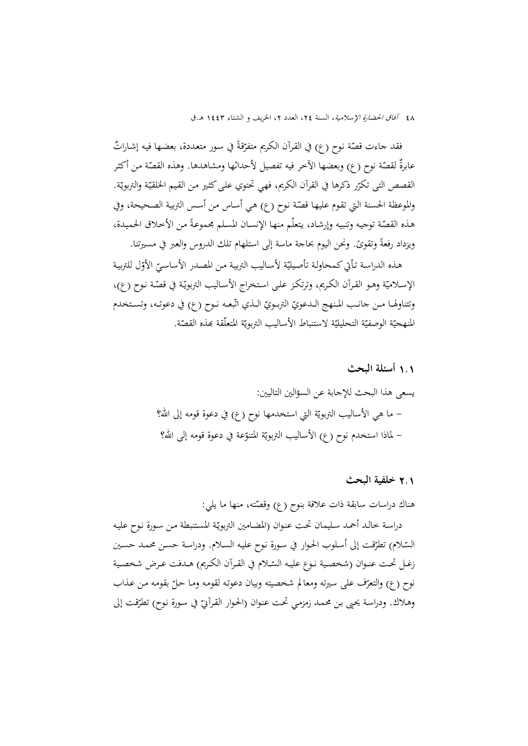فقد جاءت قصّة نوح (ع) في القرآن الكريم متفرّقةً في سور متعددة، بعضها فيه إشاراتٌ عابرةٌ لقصّة نوح (ع) وبعضها الآخر فيه تفصيل لأحداثها ومشاهدها. وهذه القصّة من أكثر القصص التی تکرّر ذکرها في القرآن الکريم، فهي تحتوي على کثير من القيم الحلقيّة والتربويّة.<br>-والموعظة الحسنة التي تقوم عليها قصّة نوح (ع) هي أساس من أسس التربية الصحيحة، وفي هذه القصّة توجيه وتنبيه وإرشاد، يتعلّم منها الإنسان المسلم مجموعةً من الأخلاق الحميدة، ويزداد رفعةً وتقوئً. ونحن اليوم بحاجة ماسة إلى استلهام تلك الدروس والعبر في مسيرتنا.

هـذه الدراسة تـأتي كـمحاولـة تأصيليّة لأسـاليب التربيـة مـن المصـدر الأساسـيّ الأوّل للتربيـة<br>. الإسلاميّة وهـو القـرآن الكـريم، وترتكـز علـى اسـتخراج الأسـاليب التربويّـة في قصّـة نـوح (ع)، وتتناولها مـن حانـب المـنهج الـدعويّ التربـويّ الـذي اتّبعـه نـوح (ع) في دعوتـه، وتسـتخدم المنهجيّة الوصفيّة التحليليّة لاستنباط الأساليب التربويّة المتعلّقة بمذه القصّة.

> 1**.**1 **أسئلة البحث** يسعى هذا البحث للإجابة عن السؤالين التاليين: – ما هي الأساليب التربويّة التي استخدمها نوح (ع) في دعوة قومه إلى الله؟ – لماذا استخدم نوح (ع) الأساليب التربويّة المتنوّعة في دعوة قومه إلى الله؟<br>-

> > 2**.**1 **خلفية البحث**

هناك دراسات سابقة ذات علاقة بنوح (ع) وقصّته، منها ما يلي:

دراسة خالد أحمد سليمان تحت عنوان (المضامين التربويّة المستنبطة من سورة نوح عليه السّـلام) تطرّقت إلى أسلوب الحوار في سورة نوح عليه السلام. ودراسة حسـن محمـد حسـين زغـل تحـت عنـوان (شخصـية نـوع عليـه السّــلام في القـرآن الكـريم) هـدفت عـرض شخصـية نوح (ع) والتعرّف على سيرته ومعالم شخصيته وبيان دعوته لقومه وما حلّ بقومه من عذاب وهـلاك. ودراسة يحيى بن محمـد زمزمي تحت عنـوان (الحـوار القـرآنيّ في سـورة نـوح) تطرّقت إلى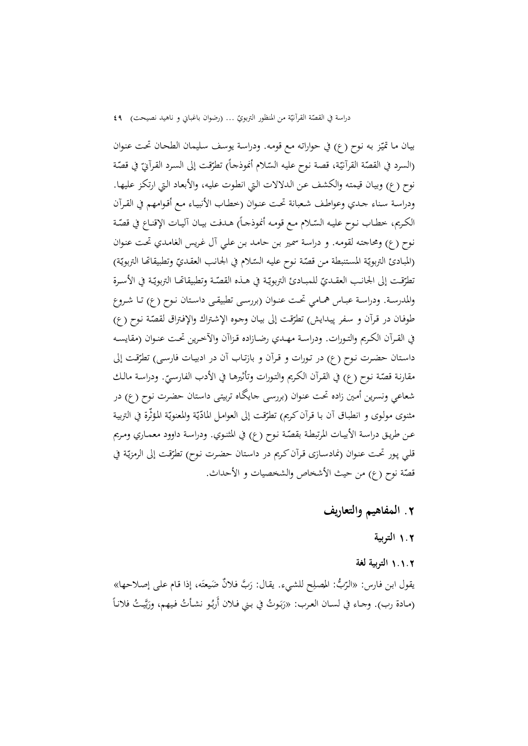دراسة في القصّة القرأنيّة من المنظور التربويّ … (رضوان باغباني و ناهيد نصيحت) ٤٩<br>-

بيـان مـا تميّز بـه نـوح (ع) في حواراتـه مـع قومـه. ودراسـة يوسف سـليمـان الطحـان تحت عنـوان (السرد في القصّة القرأنيّة، قصة نوح عليه السّـلام أنموذجـاً) تطرّقت إلى السرد القرأنيّ في قصّة نوح (ع) وبيـان قيمتـه والكشـف عـن الـدلالات الـتي انطـوت عليـه، والأبعـاد الـتي ارتكـز عليهـا. ودراسـة سـناء جـدي وعواطـف شـعبانة تحـت عنـوان (خطـاب الأنبيـاء مـع أقـوامهم في القـرآن الكريم، خطـاب نـوح عليـه السّــلام مـع قومـه أنموذجــاً) هـدفت بيــان آليــات الإقنــاع في قصّــة نـوح (ع) ومحاجتـه لقومـه. و دراسـة سمـير بـن حامـد بـن علـي آل غـريس الغامـدي تحـت عنـوان (المبادئ التربويّة المستنبطة من قصّة نوح عليه السّـلام في الجانب العقديّ وتطبيقاتما التربويّة) تطرّقـت إلى الجانـب العقـديّ للمبــادئ التربويّـة في هــذه القصّـة وتطبيقاتهـا التربويّـة في الأســرة<br>-والمدرســة. ودراســة عبــاس همــامي تحــت عنــوان (بررســی تطبيقــی داســتان نــوح (ع) تــا شــروع طوفان در قرآن و سفر پيدايش) تطرّقت إلى بيان وجوه الإشتراك والإفتراق لقصّة نوح (ع) في القــرآن الكــريم والتــورات. ودراســة مهــدي رضــازاده قــزاآن والآخــرين تحــت عنــوان (مقايســه داستان حضرت نوح (ع) در تورات و قرآن و بازتـاب آن در ادبیـات فارسـی) تطرّقـت إلى مقارنـة قصّـة نـوح (ع) في القـرآن الكـريم والتـورات وتأثيرهـا في الأدب الفـارسـيّ. ودراسـة مـالـك<br>بر شعاعي ونسرين أمـين زاده تحـت عنـوان (بررسـی جايگـاه تربيتـی داسـتان حضـرت نـوح (ع) در مثنوى مولوى و انطباق أن با قرآن كريم) تطرّقت إلى العوامل المادّيّة والمعنويّة المؤثّرة في التربية ب<br>يا عـن طريـق دراسـة الأبيـات المرتبطـة بقصّـة نـوح (ع) في المثنـوي. ودراسـة داوود معمـاري ومـريم قلي پور تحت عنوان (نمادسـازی قرآن کريم در داستان حضرت نوح) تطرّقت إلى الرمزيّة في قصّة نوح (ع) من حيث الأشخاص والشخصيات و الأحداث.

- **.**2 **المفاهيم والتعاريف** 
	- 1**.**2 **التربية**
	- 1**.**1**.**2 **التربية لغة**

ب يقول ابـن فـارس: « ِ الـر : ح ّ ُّ فـلان ه، َ َّب الم للشـيء. يقـال: ُصـل َ ر ٌ إذا قـام علـى إصـلاحها» َضـيعت (مادة رب). وحماء في لسـان العرب: «رَبَوتُ في بـني فـلان أربُو نشـأتُ فيهم، ورَبَّيتُ فلانـأ ب<br>با َ ب َ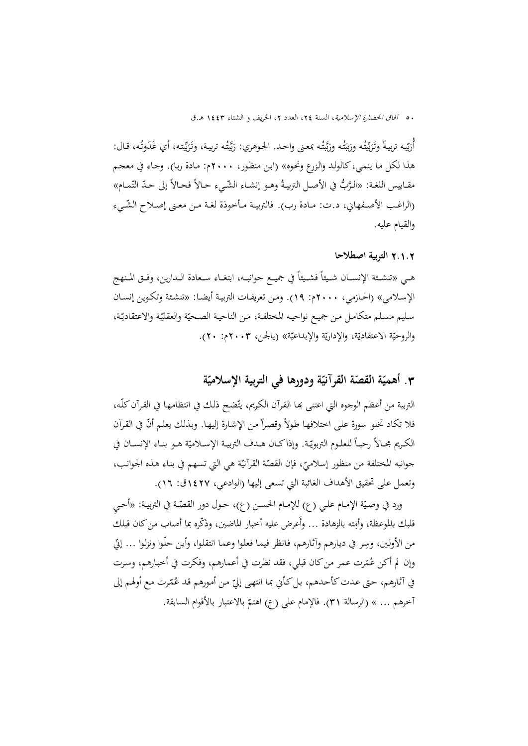أُرَيّيه تربيةً وتَرَيِّيتُه ورَبَبَتُه ورَبَّبتُه بمعنى واحد. الجـوهري: رَبَّيتُه تربية، وتَرَبِّيته، أي غَدَوتُه، قـال: بو<br>به َ بكارة َ ب<br>با<br>با َ ت بنا<br>أ َ برة َ ب<br>بد َ هذا لكل مـا ينمـي،كالولـد والـزرع ونحـوه» (ابـن منظـور، 2000م: مـادة ربـا). وجـاء في معجـم مقــاييس اللغـة: «الـرَّبُّ في الأصــل التربيـةُ وهــو إنشــاء الشّـيء حـالاً فحـالاً إلى حـدّ التّمــام» (الراغب الأصـفهاني، د.ت: مـادة رب). فالتربيـة مـأخوذة لغـة مـن معـنى إصـلاح الشّـيء والقيام عليه.

### 2**.**1**.**2 **التربية اصطلاحا**

هـي «تنشــئة الإنســان شــيئاً فشــيئاً في جميــع جوانبــه، ابتغــاء ســعادة الــدارين، وفــق المـنهج الإسـلامي» (الحـازمي، 2000م: 19). ومـن تعريفـات التربيـة أيضـا: «تنشـئة وتكـوين إنسـان سليم مسلم متكامل من جميع نواحيه المختلفة، من الناحية الصحيّة والعقليّة والاعتقاديّة، والروحيّة الاعتقاديّة، والإداريّة والإبداعيّة» (يالجن، ٢٠٠٣م: ٢٠).<br>.

# **ّ .**3 **ة ّة ودورها في التربية الإسلامي القصة القرآني أهمي ّة ّ**

التربية من أعظم الوجوه التي اعتنى بما القرآن الكريم، يتّضح ذلك في انتظامها في القرآن كلُّه،<br>-فلا تكاد تخلو سورة على اختلافها طولاً وقصراً من الإشارة إليها. وبذلك يعلم أنّ في القرآن .<br>-الکـريم مجــالاً رحبــاً للعلــوم التربويّـة. وإذاكــان هــدف التربيــة الإســلاميّة هــو بنــاء الإنســان في جوانبه المختلفة من منظور إسلاميّ، فإن القصّة القرآنيّة هي التي تسهم في بناء هذه الجوانب،<br>. وتعمل علی تحقيق الأهداف الغائبة التي تسعی إليها (الوادعي، 1427ق: 16).

ورد في وصـيّة الإمـام علـي (ع) للإمـام الحســن (ع)، حــول دور القصّـة في التربيـة: «أحــيِ قلبك بالموعظة، وأمِته بالزهادة … وأَعرض عليه أخبار الماضين، وذكّره بما أصاب من كان قبلك من الأولين، وسِر في ديارهم وآثارهم، فانظر فيما فعلوا وعما انتقلوا، وأين حلّـوا ونزلوا … إنّي وإن لم أكن عُمّرت عمر من كان قبلي، فقد نظرت في أعمارهم، وفكرت في أخبارهم، وسرت في آثـارهم، حتى عـدت كأحـدهم، بل كـأني بمـا انتهـى إليّ مـن أمورهم قـد عُمّرت مـع أولهم إلى الإمام علي (ع) اهتم ّ آخرهم ... » (الرسالة <sup>31</sup>). ف بالاعتبار بالأقوام السابقة.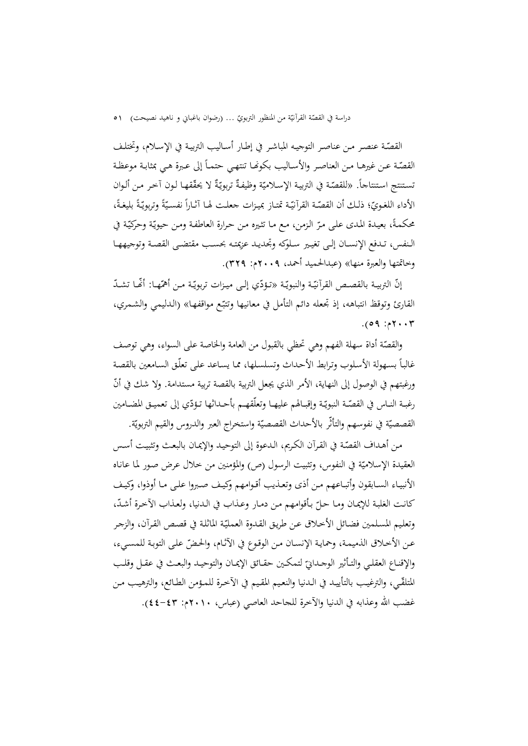دراسة في القصّة القرأنيّة من المنظور التربويّ … (رضوان باغباني و ناهيد نصيحت) ٥١<br>-

القصّـة عنصـر مـن عناصـر التوجيـه المباشـر في إطـار أسـاليب التربيـة في الإسـلام، وتختلـف القصّـة عـن غيرهـا مـن العناصـر والأســاليب بكونهـا تنتهـي حتمـاً إلى عـبرة هـي بمثابـة موعظـة تستنتج استنتاجاً. «للقصّة في التربية الإسلاميّة وظيفةٌ تربويّةٌ لا يحقّقها لون آخر من ألوان<br>-الأداء اللغـويّ؛ ذلـك أن القصّـة القرآنيّـة تمتـاز بميـزات جعلـت لهـا آثـاراً نفسـيّةً وتربويّـةً بليغـةً، محکمةً، بعيـدة المدى علـى مـرّ الزمن، مـع مـا تثـيره مـن حـرارة العاطفـة ومـن حيويّة وحركيّة في الــنفس، تــدفع الإنســان إلــی تغيــير ســلوکه وتجديــد عزيمتــه بحســب مقتضــی القصــة وتوجيههــا وخاتمتها والعبرة منها» (عبدالحميد أحمد، 2009م: 329).

إنّ التربيـة بالقصـص القرآنيّـة والنبويّـة «تـؤدّي إلـى ميـزات تربويّـة مـن أهمّـهـا: أَنَّمـا تشـدّ القارئ وتوقظ انتباهه، إذ تجعله دائم التأمل في معانيها وتتبّع مواقفها» (الدليمي والشمري،  $7.75, 69$ .

والقصّة أداة سهلة الفهم وهي تحظي بالقبول من العامة والخاصة على السواء، وهي توصف غالباً بسـهولة الأسـلوب وترابط الأحـداث وتسلسـلها، ممـا يسـاعد علم ٍ تعلّـق السـامعين بالقصـة ورغبتهم في الوصول إلى النهاية، الأمر الذي يجعل التربية بالقصة تربية مستدامة. ولا شك في أنّ رغبــة النــاس في القصّــة النبويّـة وإقبــالهم عليهــا وتعلّقهــم بأحــداثها تـؤدّي إلى تعميــق المضــامين القصصيّة في نفوسهم والتأثّر بالأحداث القصصيّة واستخراج العبر والدروس والقيم التربويّة.

من أهـداف القصّـة في القرآن الكريم، الـدعوة إلى التوحيـد والإيمـان بالبعـث وتثبيـت أسـس العقيدة الإسلاميّة في النفوس، وتثبيت الرسول (ص) والمؤمنين من خلال عرض صور لما عانـاه الأنبيــاء الســابقون وأتبــاعهم مــن أذى وتعــذيب أقــوامهم وكيــف صــبروا علــى مــا أوذوا، وكيــف كانت الغلبة للإيمان ومـا حـلّ بأقوامهم من دمـار وعـذاب في الـدنيا، ولعـذاب الآخرة أشـدّ،<br>-وتعليم المسلمين فضـائل الأخـلاق عـن طريق القـدوة العمليّة الماثلة في قصـص القـرآن، والزجـر عن الأخلاق الذميمـة، وحمايـة الإنسـان مـن الوقـوع في الآثـام، والحـضّ علـى التوبـة للمسـيء، والإقنـاع العقلـي والتـأثير الوجـدانيّ لتمكـين حقـائق الإيمــان والتوحيــد والبعـث في عقــل وقلـب المتلقّـي، والترغيب بالتأييـد في الـدنيا والنعيم المقيم في الآخرة للمـؤمن الطـائع، والترهيب مـن غضب االله وعذابه في الدنيا والآخرة للجاحد العاصي (عباس، 2010م: 44-43).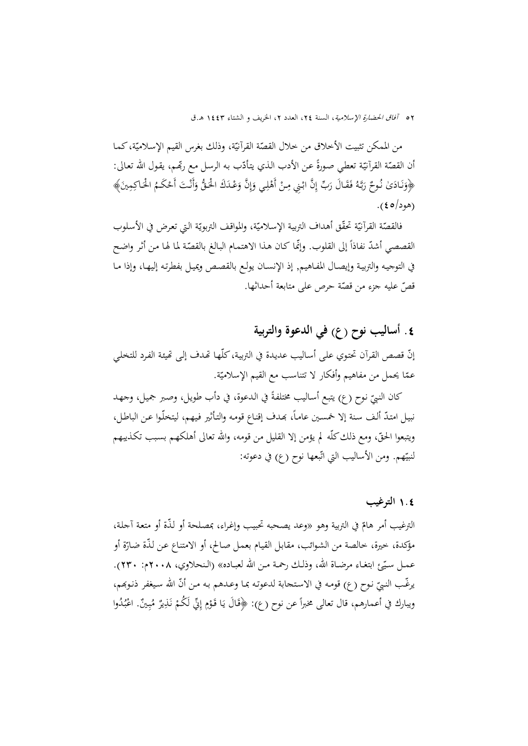من الممكن تثبيت الأخلاق من خلال القصّة القرآنيّة، وذلك بغرس القيم الإسلاميّة، كما أن القصّة القرآنيّة تعطي صورةً عن الأدب الذي يتأدّب به الرسل مع ربِّفم، يقول الله تعالى:<br>. ﴿وَنَادَىٰ نُوحٌ رَبَّهُ فَقَالَ رَبِّ إِنَّ ابْنِي مِنْ أَهْلِي وَإِنَّ وَعْدَكَ الْحَقُّ وَأَنْتَ أَحْكَمُ الْحَاكِمِينَ﴾ ن َ ن<br>با إ َ (هود/ه ع).

فالقصّة القرأنيّة تحقّق أهداف التربية الإسلاميّة، والمواقف التربويّة التي تعرض في الأسلوب<br>-القصصي أشدّ نفاذاً إلى القلوب. وإنّما كان هذا الاهتمام البالغ بالقصّة لما لها من أثر واضح في التوجيـه والتربيـة وإيصـال المفـاهيم, إذ الإنسـان يولـع بالقصـص ويميـل بفطرتـه إليهـا، وإذا مـا قصّ عليه جزء من قصّة حرص على متابعة أحداثها.<br>ّ

## **.**4 **أساليب نوح (ع) في الدعوة والتربية**

إنّ قصص القرآن تحتوي على أساليب عديدة في التربية، كلّها تّهدف إلى تّهيئة الفرد للتخلي عمّا يحمل من مفاهيم وأفكار لا تتناسب مع القيم الإسلاميّة.

كان النبيّ نوح (ع) يتبع أساليب مختلفةً في الدعوة، في دأب طويل، وصبر جميل، وجهد<br>-نبيل امتـدّ ألف سنة إلا خمسين عامـاً، بمدف إقنـاع قومه والتأثير فيهم، ليتخلّـوا عـن الباطل، ويتبعوا الحقّ، ومع ذلك كلّه لم يؤمن إلا القليل من قومه، والله تعالى أهلكهم بسبب تكذيبهم لنبيّهم. ومن الأساليب التي اتّبعها نوح (ع) في دعوته:

## 1**.**4 **الترغيب**

الترغيب أمر هامّ في التربية وهو «وعد يصحبه تحبيب وإغراء، بمصلحة أو لذّة أو متعة آجلة،<br>. مؤكدة، خيرة، خالصة من الشوائب، مقابل القيام بعمل صالح، أو الامتناع عن لذّة ضارّة أو عمـل سـيّع ابتغـاء مرضـاة الله، وذلـك رحمـة مـن الله لعبـاده» (الـنحلاوي، ٢٠٠٨م: ٢٣٠). يرغّب النبيّ نوح (ع) قومه في الاستحابة لدعوته بما وعدهم به من أنّ الله سيغفر ذنوبَهم،<br>. ويبارك في أعمارهم، قال تعالى مخبراً عن نوح (ع): ﴿قَالَ يَا قَوْمِ إِنِّي لَكُمْ نَذِيرٌ مُبِينٌ. اعْبُدُوا ْ ب **ٔ** ب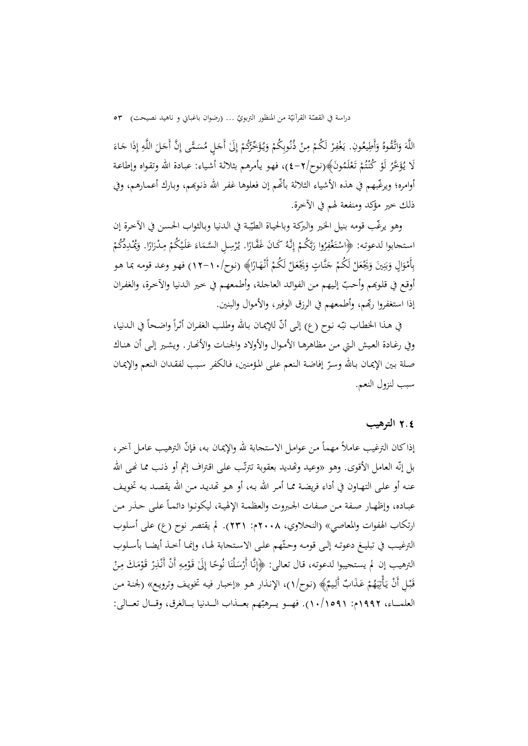دراسة في القصّة القرآنيّة من المنظور التربويّ … (رضوان باغباني و ناهيد نصيحت) ٥٣<br>-

َ اللَّهَ وَاتَّقُوهُ وَأَطِيعُونِ. يَغْفِرْ لَكُمْ مِنْ ذُنُوبِكُمْ وَيُؤَخِّرُكُمْ إِلَىٰ أَجَلٍ مُسَمَّى إِنَّ أَجَلَ اللَّهِ إِذَا جَاءَ<br>اللَّهَ وَاتَّقُوهُ وَأَطِيعُونِ. يَغْفِرْ لَكُمْ مِنْ ذُنُوبِكُمْ وَيُؤَخِّرُكُمْ َ َ ب<br>ا .<br>. َ ا ُ َلا َ َّخر ؤ ُ ْ يـ ْ لَو ُم ْـت ُ َون﴾(نـوح/ ُكن َم ل تـ 4-2)، فهـو يـأمرهم بثلاثـة أشـياء: عبـادة االله وتقـواه وإطاعـة َع ْ أوامره؛ ويرغّبهم في هذه الأشياء الثلاثة بأنَّهم إن فعلوها غفر الله ذنوبهم، وبارك أعمـارهـم، وفي ذلك خير مؤکد ومنفعة لهم في الآخرة.

وهو يرغّب قومه بنيل الخير والبركـة وبالحيـاة الطيّبـة في الدنيا وبـالثواب الحسـن في الآخرة إن<br>. استحابوا لدعوته: ﴿اسْتَغْفِرُوا رَبَّكُمْ إِنَّهُ كَانَ غَفَّارًا. يُرْسِلِ السَّمَاءَ عَلَيْكُمْ مِدْرَارًا. وَيُمْدِدُكُمْ<br>ِ ب َ اُ ً ِ ق<br>ر بِأَمْوَالٍ وَبَنِينَ وَيَجْعَلْ لَكُمْ جَنَّاتٍ وَيَجْعَلْ لَكُمْ أَنْهَارًا﴾ (نوح/١٠-١٢) فهو وعد قومه بما هو َ ِ ن ِينا<br>أ ب َ َ أوقع في قلوبهم وأحبّ إليهم من الفوائد العاجلة، وأطمعهم في خير الدنيا والأخرة، والغفران إذا استغفروا ربِّهم، وأطمعهم في الرزق الوفير، والأموال والبنين.

في هـذا الخطاب نبّـه نوح (ع) إلى أنّ للإيمـان بـالله وطلب الغفـران أثـراً واضـحاً في الـدنيا، وفي رغـادة العـيش الـتي مـن مظاهرهـا الأمـوال والأولاد والجنـات والأنهـار . ويشـير إلـی أن هنـاك صلة بين الإيمان بـالله وسـرّ إفاضـة النعم على المؤمنين، فـالكفر سبب لفقـدان النعم والإيمـان سبب لنزول النعم.

## 2**.**4 **الترهيب**

إذاكان الترغيب عاملاً مهماً من عوامل الاستجابة لله والإيمان به، فإنّ الترهيب عامل آخر، بل إنّه العامل الأقوى. وهو «وعيد وتّمديد بعقوبة تترتّب على اقتراف إثم أو ذنب مما نّهى الله عنـه أو علـى التهـاون في أداء فريضـة ممـا أمـر االله بـه، أو هـو ēديـد مـن االله يقصـد بـه تخويـف عبـاده، وإظهـار صـفة مـن صـفات الجبروت والعظمـة الإلهيـة، ليكونـوا دائمـاً علـى حـذر مـن ارتكاب الهفوات والمعاصي» (النحلاوي، 2008م: 231). لم يقتصر نوح (ع) علی أسـلوب الترغيب في تبليـغ دعوتـه إلـى قومـه وحثّهم علـى الاستحابة لهـا، وإنمـا أخـذ أيضـا بأسـلوب الترهيب إن لم يستجيبوا لدعوته، قال تعالى: ﴿إِنَّا أَرْسَلْنَا نُوحًا إِلَىٰ قَوْمِهِ أَنْ أَنْذِرْ قَوْمَكَ مِنْ<br>. .<br>. ِ ْ ْ قَبْلِ أَنْ يَأْتِيَهُمْ عَذَابٌ أَلِيمٌ﴾ (نوح/١)، الإنذار هو «إخبار فيه تخويف وترويع» (لجنة من اب<br>ا ي ِ<br>ن با<br>أ العلمـــاء، ١٩٩٢م: ١٠/١٥٩١). فهــو يــرهبّهم بعــذاب الــدنيا بـــالغرق، وقــال تعــالي: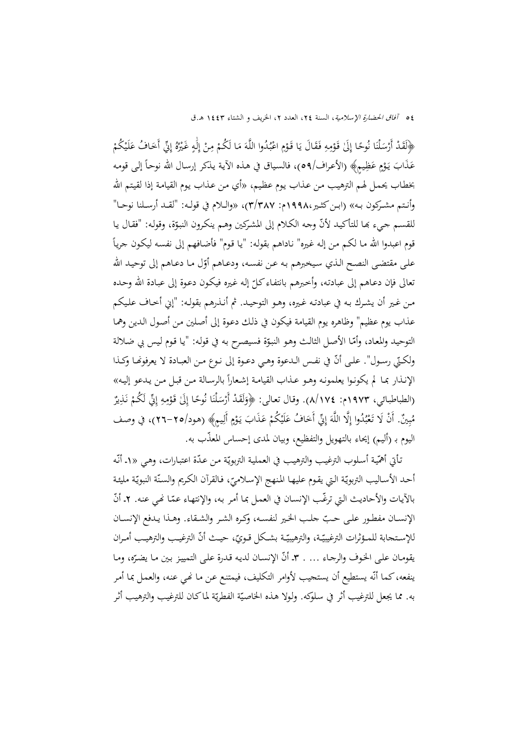﴿لَقَدْ أَرْسَلْنَا نُوحًا إِلَىٰ قَوْمِهِ فَقَالَ يَا قَوْمِ اعْبُدُوا اللَّهَ مَا لَكُمْ مِنْ إِلَٰهٍ غَيْرُهُ إِنِّي أَخَافُ عَلَيْكُمْ .<br>ا اٍ <u>ٔ</u> ْ ب ا<br>ا لَ اٰ َ عَذَابَ يَوْمٍ عَظِيمٍ﴾ (الأعراف/٥٩م)، فالسياق في هذه الآية يذكر إرسال الله نوحاً إلى قومه ْ بخطـاب يحمـل لهـم الترهيـب مـن عـذاب يـوم عظـيم، «أي مـن عـذاب يـوم القيامـة إذا لقيـتم االله وأنــتم مشــرکون بــه» (ابــنکثــير1998،م: 3/387)، «والــلام في قولــه: "لقــد أرســلنا نوحــا" للقسـم جيء بما للتأكيد لأنّ وجه الكـلام إلى المشركين وهـم ينكرون النبوّة، وقوله: "فقـال يـا قوم اعبدوا الله مـا لكـم مـن إلـه غيره" نـاداهـم بقولـه: "يـا قـوم" فأضـافـهم إلى نفسـه ليكـون جريـاً على مقتضى النصح الذي سيخبرهم به عن نفسه، ودعـاهم أوّل مـا دعـاهم إلى توحيـد الله نعالى فإن دعـاهم إلى عبادته، وأخبرهم بانتفـاء كـلّ إله غيره فيكون دعوة إلى عبـادة الله وحـده مـن غـير أن يشـرك بـه في عبادتـه غـيره، وهـو التوحيـد. ثم أنـذرهم بقولـه: "إني أخـاف علـيكم عذاب يوم عظيم" وظاهره يوم القيامة فيكون في ذلـك دعـوة إلى أصـلين مـن أصـول الـدين وهمـا التوحيد والمعاد، وأمّا الأصل الثالث وهو النبوّة فسيصرح به في قوله: "يا قوم ليس بي ضلالة ولكـتي رسـول". علـى أنّ في نفـس الـدعوة وهـي دعـوة إلى نـوع مـن العبـادة لا يعرفونهـا وكـذا الإنـذار بمـا لم يكونـوا يعلمونـه وهـو عـذاب القيامـة إشـعارا » ً بالرسـالة مـن قبـل مـن يـدعو إليـه (الطباطبائي، ١٩٧٣م: ١٧٤/٨). وقال تعالى: ﴿وَلَقَدْ أَرْسَلْنَا نُوحًا إِلَىٰ قَوْمِهِ إِنِّي لَكُمْ نَذِيرٌ ٍٍٍٍٍٍٍٍٍٍٍٍٍٍٍٍٍٍٍٍ ْ ن ِمُبِينٌ. أَنْ لَا تَعْبُدُوا إِلَّا اللَّهَ إِنِّي أَخَافُ عَلَيْكُمْ عَذَابَ يَوْمٍ أَلِيمٍ﴾ (هود/٢٥-٢٦)، في وصف ب ب ْ َ <u>لى</u> اليوم بـ (أليم) إيحاء بالتهويل والتفظيع، وبيان لمدى إحساس المعذَّب به.

تأتي أهمّية أسلوب الترغيب والترهيب في العملية التربويّة من عـدّة اعتبارات، وهـي «١- أنّه أحـد الأسـاليب التربويّة الـتي يقـوم عليهـا المنهج الإسـلاميّ، فـالقرآن الكـريم والسـنّة النبويّة مليئـة<br>. بالآيات والأحاديث التي ترغَّب الإنسان في العمل بما أمر به، والإنتهاء عمّا نُحي عنه. ٢ـ أنَّ الإنســان مفطـور علـى حـبّ حلـب الخـير لنفســه، وكـره الشـر والشـقاء. وهــذا يـدفع الإنســان للإستجابة للمـؤثرات الترغيبيّـة، والترهيبيّـة بشـكل قـويّ، حيـث أنّ الترغيـب والترهيـب أمـران يقومـان علـى الخـوف والرجـاء ... . ٣ـ أنّ الإنسـان لديه قـدرة علـى التمييز بـين مـا يضـرّه، ومـا ينفعه،كمما أنّه يستطيع أن يستجيب لأوامر التكليف، فيمتنع عن مـا نمـي عنـه، والعمـل بمـا أمر به. مما يجعل للترغيب أثر في سلوكه. ولولا هـذه الخاصيّة الفطريّة لماكـان للترغيب والترهيب أثر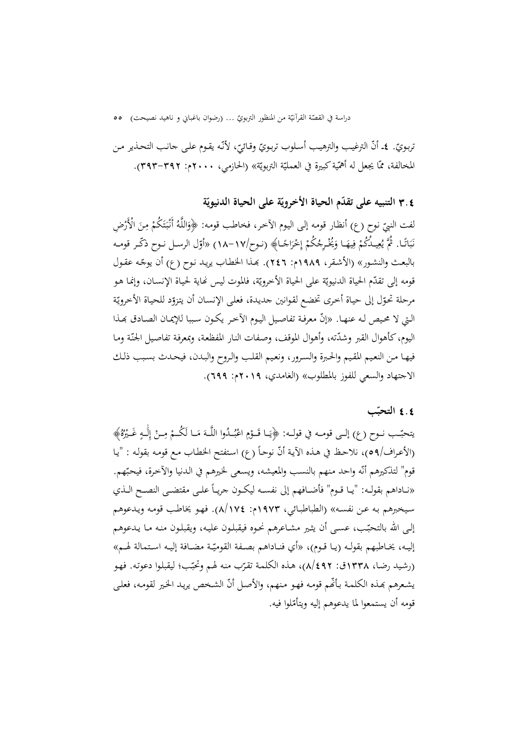دراسة في القصّة القرآنيّة من المنظور التربويّ … (رضوان باغباني و ناهيد نصيحت) o o

تربويّ. ٤ـ أنّ الترغيب والترهيب أسلوب تربويّ وقـائيّ، لأنّه يقـوم علـي جانب التحـذير مـن<br>-المخالفة، ممّا يجعل له أهمّية كبيرة في العمليّة التربويّة» (الحازمي، ٢٠٠٠م: ٣٩٣–٣٩٣).<br>.

**ّ** 3**.**4 **ة ة على الحياة الدنيوي ّ تقد م الحياة الأخروي التنبيه علی ّ**

لفت النبيّ نوح (ع) أنظار قومه إلى اليوم الآخر، فخاطب قومه: ﴿وَاللَّهُ أَنْبَتَكُمْ مِنَ الْأَرْضِ<br>.  $\ddot{\cdot}$ نَبَاتًا. ثُمَّ يُعِيمُكُمْ فِيهَـا وَيُخْرِجُكُمْ إِخْرَاجًـا﴾ (نـوح/١٧–١٨) «أوّل الرسـل نـوح ذكّـر قومـه ب ِبالبعث والنشور» (الأشقر، ١٩٨٩م: ٢٤٦). بَعدا الخطاب يريد نوح (ع) أن يوجّه عقول قومه إلى تقدّم الحياة الدنيويّة على الحياة الأخرويّة، فالموت ليس نماية لحياة الإنسـان، وإنمـا هـو مرحلة تحوّل إلى حياة أحرى تخضع لقوانين جديدة، فعلى الإنسان أن يتزوّد للحياة الأخرويّة التي لا محيص له عنهـا. «إنّ معرفـة تفاصيل اليـوم الأخـر يكـون سـببا للإيمـان الصـادق بمـذا اليوم، كأهوال القبر وشدّته، وأهوال الموقف، وصفات النار المفظعة، وبمعرفة تفاصيل الجنّة وما فيهـا مـن النعـيم المقـيم والحـبرة والسـرور، ونعـيم القلـب والـروح والبـدن، فيحـدث بسـبب ذلـك الاجتهاد والسعي للفوز بالمطلوب» (الغامدي، 2019م: 699).

### **التحب ّ** 4**.**4 **ب**

يتحبّـب نــوح (ع) إلـى قومــه في قولــه: ﴿يَــا قَــؤمِ اعْبُــدُوا اللَّــهَ مَــا لَكُــمْ مِــنْ إِلَـٰهٍ غَــيْرُهُ﴾ ْ ب ْ لَ (الأعراف/٥٩)، نلاحظ في هـذه الآيـة أنّ نوحـاً (ع) استفتح الخطـاب مـع قومـه بقولـه : "يـا قوم" لتذكيرهم أنّه واحد منهم بالنسب والمعيشه، ويسعى لخيرهم في الدنيا والآخرة، فيحبّهم. «نــاداهـم بقولــه: "يــا قــوم" فأضــافهم إلى نفســه ليكــون جريــاً علــى مقتضــى النصـح الــذي سـيخبرهم بـه عـن نفسـه» (الطباطبـائي، 1973م: 8/174). فهـو يخاطـب قومـه ويـدعوهم إلى الله بالتحبّب، عسـى أن يثـير مشـاعرهم نحـوه فيقبلـون عليـه، ويقبلـون منـه مـا يـدعوهم إليـه، يخــاطبهم بقولـه (يــا قــوم)، «أي فنــاداهـم بصـفة القوميّـة مضــافة إليـه اسـتمالة لهــم» (رشيد رضا، ١٣٣٨ق: ٤٩٢)، هذه الكلمة تقرّب منه لهم وتحبّب؛ ليقبلوا دعوته. فهو<br>-يشعرهم بمذه الكلمـة بـألهم قومـه فهـو منهم، والأصل أنّ الشـخص يريـد الخير لقومـه، فعلـي قومه أن يستمعوا لما يدعوهم إليه ويتأمّلوا فيه.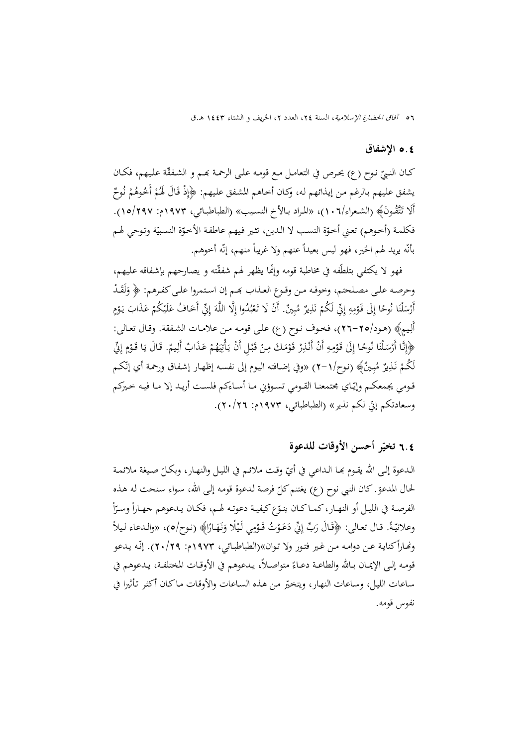### 5**.**4 **الإشفاق**

كــان النــيّ نـوح (ع) يحـرص في التعامــل مـع قومـه علــى الرحمـة بمــم و الشـفقّة علـيهـم، فكــان<br>. يشفق عليهم بالرغم من إيذائهم له، وكـان أحاهم المشفق عليهم: ﴿إِذْ قَالَ لَهُمْ أَخُوهُمْ نُوحٌ<br>ِ ن أَلَا تَتَّقُونَ﴾ (الشعراء/١٠٦)، «المراد بـالأخ النسيب» (الطباطبـائي، ١٩٧٣م: ١٥/٢٩٧.). فكلمة (أخوهم) تعني أخوّة النسب لا الدين، تثير فيهم عاطفة الأخوّة النسبيّة وتوحي لهم  $\overline{\phantom{a}}$ بأنّه يريد لهم الخير، فهو ليس بعيداً عنهم ولا غريباً منهم، إنّه أخوهم.

فهو لا يکتفي بتلطّفه في مخاطبة قومه وإنّما يظهر لهم شفقّته و يصارحهم بإشفاقه عليهم، وحرصه علـى مصـلحتم، وخوفـه مـن وقـوع العـذاب بحـم إن اسـتمروا علـى كفـرهم: ﴿ وَلَقَـدْ َ أَرْسَلْنَا نُوحًا إِلَىٰ قَوْمِهِ إِنِّي لَكُمْ نَذِيرٌ مُبِينٌ. أَنْ لَا تَعْبُدُوا إِلَّا اللَّهَ إِنِّي أَخَافُ عَلَيْكُمْ عَذَابَ يَوْمٍ<br>ِ .<br>.  $\overline{a}$  $\int$ ،<br>. ِب َ ْ أَلِيمِ﴾ (هـود/٢٥-٢٦)، فخـوف نـوح (ع) علـى قومـه مـن علامـات الشـفقة. وقـال تعـالي: ﴿إِنَّا أَرْسَلْنَا نُوحًا إِلَىٰ قَوْمِهِ أَنْ أَنْذِرْ قَوْمَكَ مِنْ قَبْلِ أَنْ يَأْتِيَهُمْ عَذَابٌ أَلِيمٌ. قَالَ يَا قَوْمِ إِنِّي<br>\* .<br>. ٍٍٍٍٍٍٍٍٍٍٍٍٍٍٍٍٍٍٍٍٍٍٍٍٍ ،<br>' ،<br>'  $\ddot{\phantom{0}}$ ي ِ<br>ن با<br>أ ْ إ ْ لَكُمْ نَـٰزِيزٌ مُبِـينٌ﴾ (نوح/١–٢) «وفي إضافته اليوم إلى نفسـه إظهـار إشـفاق ورحمـة أي إنّكـم ب قـومي يجمعكـم وإيّـاي مجتمعنـا القـومي تسـوؤني مـا أسـاءكم فلسـت أريـد إلا مـا فيـه خـيركم وسعادتكم إنّ لكم نذير» (الطباطبائي، ١٩٧٣م: ٢٠/٢٦).

## **تخي الأوقات للدعوة ّ** 6**.**4 **ر أحسن**

الـدعوة إلـى الله يقـوم بمـا الـداعي في أيّ وقـت ملائـم في الليـل والنهـار، وبكـلّ صـيغة ملائمـة<br>. لحال المدعوّ كان النبي نوح (ع) يغتنم كلّ فرصة لدعوة قومه إلى الله، سواء سنحت له هذه<br>-الفرصـة في الليـل أو النهـار، كمـاكـان ينـوّع كيفيـة دعوتـه لهـم، فكـان يـدعوهم جهـاراً وسـرّاً<br>. ا وعلانيّةً. قـال تعـالى: ﴿قَـَالَ رَبِّ إِنِّي دَعَوْتُ قَـوْمِي لَيْلًا وَنَهَـارًا﴾ (نـوح/٥)، «والـدعاء لـيلأ <u>ٔ</u> ونُّصاراً كنايـة عـن دوامـه مـن غـير فتـور ولا تـوان»(الطباطبـائي، ١٩٧٣م: ٢٠/٢٩). إنَّـه يـدعو قومـه إلـى الإيمـان بـالله والطاعـة دعـاءً متواصـلاً، يـدعوهم في الأوقـات المختلفـة، يـدعوهم في ساعات الليل، وساعات النهار، ويتخيّر من هذه الساعات والأوقات ماكان أكثر تأثيرا في نفوس قومه.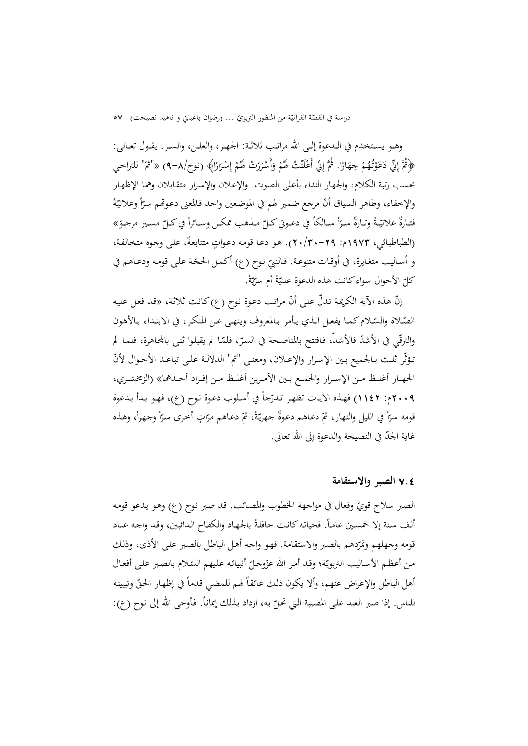دراسة في القصّة القرأنيّة من المنظور التربويّ … (رضوان باغباني و ناهيد نصيحت) ٥٧<br>-

وهــو يســتخدم في الــدعوة إلــی االله مراتــب ثلاثــة: الجهــر، والعلــن، والســر. يقــول تعــالی: ﴿ثُمَّ إِنِّي دَعَوْتُهُمْ جِهَارًا. ثُمَّ إِنِّي أَعْلَنْتُ لَهُمْ وَأَسْرَرْتُ لَهُمْ إِسْرَارًا﴾ (نوح/٨–٩) «"تم" للتراخي <u>ٔ</u> ْ ر<br>. َ بحسب رتبة الكلام، والجهار النداء بأعلى الصوت. والإعـلان والإسـرار متقـابلان وهمـا الإظهـار  $\ddot{\phantom{a}}$ والإخفاء، وظاهر السياق أنّ مرجع ضمير لهم في الموضعين واحد فالمعنى دعوصّم سرّاً وعلانيّةً ا  $\ddot{\epsilon}$ فتـارةً علانيّـةً وتـارةً سـرّاً سـالكاً في دعـوتي كـلّ مـذهب ممكـن وسـائراً في كـلّ مسـير مرجـوّ»<br>. ا (الطباطبائي، ١٩٧٣م: ٢٠/٣٠-٢٠). هو دعا قومه دعواتٍ متتابعةً، على وجوه متخالفة، و أسـاليب متغـايرة، في أوقـات متنوعـة. فـالنبيّ نـوح (ع) أكـمـل الحـجّـة عـلـى قومـه ودعـاهـم في<br>. كلّ الأحوال سواءِ كانت هذه الدعوة علنيّةً أم سرّيّةً.<br>-ي

إنّ هذه الآية الكريمة تدلّ على أنّ مراتب دعوة نوح (ع) كانت ثلاثة، «قد فعل عليه الصّـلاة والسّـلام كمـا يفعـل الـذي يـأمر بـالمعروف وينهـي عـن المنكـر، في الابتـداء بـالأهون<br>" .<br>-والترقّي في الأشدّ فالأشد، فـافتتح بالمناصـحة في السرّ، فلمّا لم يقبلوا ثنـی بالمحـاهرة، فلمـا لمّ<br>. تــؤثّر ثلــث بــالجميع بــين الإســرار والإعــلان، ومعنــی "ثم" الدلالــة علــی تباعــد الأحــوال ّلأن الجهــار أغلــظ مــن الإســرار والجمــع بــين الأمــرين أغلــظ مــن إفــراد أحــدهما» (الزمخشــري، ٢٠٠٩م: ١١٤٢) فهـذه الآيـات تظهر تـدرّجاً في أسـلوب دعـوة نـوح (ع)، فهـو بـدأ بـدعوة رّاً في الليل والنهار، ثمّ دعاهم دعوةً جهريّةً، ثمّ دعاهم مرّاتٍ أخرى سرّاً وجهراً، وهذه<br>" ا ا قومه سرّاً في الليل والنهار، ثمّ دعاهم دعوةً جه<br>غاية الجدّ في النصيحة والدعوة إلى الله تعالى.

## 7**.**4 **الصبر والاستقامة**

الصبر سلاح قويّ وفعال في مواجهة الخطوب والمصائب. قد صبر نوح (ع) وهو يدعو قومه ألف سنة إلا خمسين عاماً. فحياته كانت حافلةً بالجهاد والكفاح الدائبين، وقد واجه عناد قومه وجهلهم وتمرّدهم بالصبر والاستقامة. فهو واجه أهل الباطل بالصبر على الأذى، وذلك من أعظم الأساليب التربويّة؛ وقـد أمـر الله عزّوجـلّ أنبيائـه عليهم السّـلام بالصـبر علـى أفعـال أهل الباطل والإعراض عنهم، وألا يكون ذلك عائقاً لهم للمضي قدماً في إظهار الحقّ وتبيينه للناس. إذا صبر العبد على المصيبة التي تحلّ به، ازداد بذلك إيماناً. فأوحى الله إلى نوح (ع):<br>.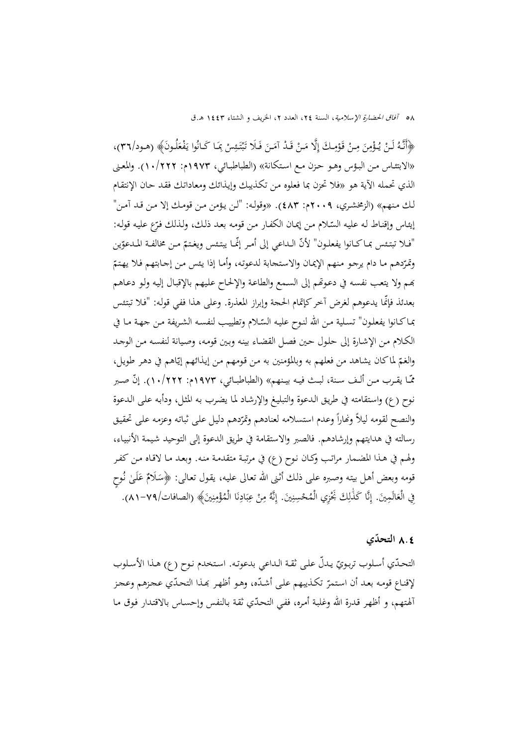لْهَأَنَّهُ لَنْ يُؤْمِنَ مِنْ قَوْمِكَ إِلَّا مَنْ قَدْ آمَنَ فَلَا تَبْتَئِسْ بِمَا كَانُوا يَفْعَلُونَ﴾ (هـود/٣٦)، ،<br>. ت ْ ب َ يا<br>. «الابتئـاس مـن البـؤس وهـو حـزن مـع اسـتكانة» (الطباطبـائي، 1973م: 10/222). والمعـنى الذي تحمله الآية هو «فلا تحزن بما فعلوه مـن تكـذيبك وإيـذائك ومعاداتـك فقـد حـان الإنتقـام لـك مـنهم» (الزمخشـري، 2009م: 483). «وقولـه: "لـن يـؤمن مـن قومـك إلا مـن قـد آمـن" إيثاس وإقناط له عليه السّلام من إيمان الكفار من قومه بعد ذلك، ولذلك فرّع عليه قوله: "فـلا تبتـئس بمـاكـانوا يفعلـون" لأنّ الـداعي إلى أمـر إنّمـا يبتـئس ويغـتمّ مـن مخالفـة المـدعوّين وتمرّدهم ما دام يرجو منهم الإيمان والاستحابة لدعوته، وأمـا إذا يئس من إجـابتهم فـلا يهتمّ đـم ولا يتعـب نفسـه في دعـوēم إلى السـمع والطاعـة والإلحـاح علـيهم بالإقبـال إليـه ولـو دعـاهم بعدئذ ّ فإنما يدعوهم لغرض آخركإتمام الحجة وإبراز المعذرة. وعلى هذا ففي قولـه: "فـلا تبتـئس بماكـانوا يفعلـون" تسـلية مـن الله لنـوح عليـه السّـلام وتطييب لنفسـه الشـريفة مـن جـهـة مـا في الكـلام مـن الإشـارة إلى حلـول حـين فصـل القضـاء بينـه وبـين قومـه، وصـيانة لنفسـه مـن الوجـد والغمّ لماكان يشاهد من فعلهم به وبالمؤمنين به من قومهم من إيذائهم إيّاهم في دهر طويل، مّـّا يقـرب مـن ألـف سـنة، لبـث فيـه بيـنهم» (الطباطبــائي، ١٩٧٣م: ١٠/٢٢٢). إنّ صـبر نـوح (ع) واسـتقامته في طريـق الـدعوة والتبليـغ والإرشـاد لمـا يضـرب بـه المثـل، ودأبـه علـی الـدعوة والنصح لقومه ليلاً ونماراً وعدم استسلامه لعنادهم وتمرّدهم دليل على ثباته وعزمه على تحقيق رسالته في هدايتهم وإرشادهم. فالصبر والاستقامة في طريق الدعوة إلی التوحيد شـيمة الأنبيـاء، ولهـم في هـذا المضـمار مراتـب وکـان نـوح (ع) في مرتبـة متقدمـة منـه. وبعـد مـا لاقـاه مـن كفـر قومه وبعض أهل بيته وصبره على ذلك أثنى الله تعالى عليه، يقول تعالى: ﴿سَلَامٌ عَلَىٰ نُوحٍ م<br>ز فِي الْعَالَمِينَ. إِنَّا كَذَٰلِكَ بَخْزِي الْمُحْسِنِينَ. إِنَّهُ مِنْ عِبَادِنَا الْمُؤْمِنِينَ﴾ (الصافات/٧٩-٨١). اٰ ِِ <u>ٔ</u> ∫ٰ ِ ن ِ ب ِ. ن ِ

## **التحدي ّ** 8**.**4

التحدّي أسلوب تربويّ يدلّ على ثقـة الـداعي بدعوته. استخدم نـوح (ع) هـذا الأسـلوب لإقناع قومه بعد أن استمرّ تكذيبهم على أشدّه، وهو أظهر بمذا التحدّي عجزهم وعجز ألهتهم، و أظهر قدرة الله وغلبة أمره، ففي التحدّي ثقة بالنفس وإحساس بالاقتدار فوق ما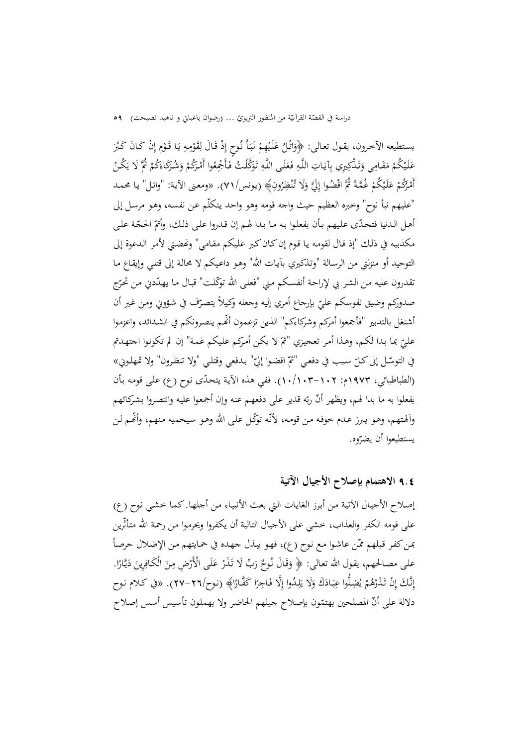دراسة في القصّة القرأنيّة من المنظور التربويّ … (رضوان باغباني و ناهيد نصيحت) 09<br>-

يستطيعه الآخرون، يقـول تعـالى: ﴿وَاتْلُ عَلَيْهِمْ نَبَأَ نُوحٍ إِذْ قَالَ لِقَوْمِهِ يَا قَـوْمِ إِنْ كَـانَ كَبُرَ<br>مستطيعه الآخرون، يقـول تعـالـي: َ **ٔ** ب ،<br>، ْ ْ عَلَيْكُمْ مَقَامِي وَتَذْكِيرِي بِآيَاتِ اللَّهِ فَعَلَى اللَّهِ تَوَكَّلْتُ فَأَجْعِعُوا أَمْرَكُمْ وَشُرَكَاءَكُمْ ثُمَّ لَا يَكُنْ<br>ِ  $\overline{\phantom{a}}$ ت َ َ َ </sub> َ ي <sup>(</sup> أَمْرُكُمْ عَلَيْكُمْ غُمَّةً ثُمَّ اقْضُوا إِلَيَّ وَلَا تُنْظِرُونِ﴾ (يونس/٧١). «ومعنى الآية: "واتل" يا محمد<br>. َ ن "عليهم نبأ نوح" وخبره العظيم حيث واجه قومه وهو واحد يـتكلّم عـن نفسـه، وهـو مرسـل إلى أهل الدنيا فتحدّى عليهم بأن يفعلوا به ما بدا لهم إن قدروا على ذلك، وأتمّ الحجّة على مكذبيه في ذلك "إذ قال لقومه يا قوم إن كـان كبر عليكم مقـامي" ونحضـتي لأمر الدعوة إلى التوحيد أو منزلتي من الرسـالة "وتـذكيري بآيـات االله" وهـو داعـيكم لا محالـة إلى قتلـي وإيقـاع مـا نقدرون عليه من الشر بي لإراحة أنفسكم مني "فعلى الله توكّلت" قبال ما يهدّدني من تحرّج صدوركم وضيق نفوسكم عليّ بإرحاع أمري إليه وجعله وكيلاً يتصرّف في شؤوبي ومن غير أن<br>. أشتغل بالتدبير "فأجمعوا أمركم وشركاءكم" الذين تزعمون ّ أĔـم ينصـرونكم في الشـدائد، واعزمـوا عليّ بما بدا لكم، وهـذا أمر تعجيزي "ثمّ لا يكن أمركم عليكم غمة" إن لم تكونوا اجتهـدتم في التوسّل إلى كـلّ سبب في دفعي "ثمّ اقضوا إليّ" بـدفعي وقتلـي "ولا تنظـرون" ولا تمهلـوبي»<br>\* (الطباطبائي، ١٩٧٣م: ١٠٢–١٠٣). ففي هذه الآية يتحدّى نوح (ع) علمى قومه بأن يفعلوا به ما بدا لهم، ويظهر أنّ ربّه قدير على دفعهم عنه وإن أجمعوا عليه وانتصروا بشركائهم وألهتهم، وهـو يبرز عـدم خوفـه مـن قومـه، لأنّه توكّل على الله وهـو سيحميه منهم، وأنَّمم لـن يستطيعوا أن يضرّوه.

9**.**4 **الاهتمام بإصلاح الأجيال الآتية** 

إصـلاح الأجيـال الآتيـة مـن أبـرز الغايـات الـتي بعـث الأنبيـاء مـن أجلهـا. كمـا خشـي نـوح (ع) على قومه الكفر والعذاب، خشي على الأجيال التالية أن يكفروا ويحرمـوا مـن رحمـة االله متـأثّرين  $\overline{a}$ بمن كفر قبلهم ممّن عاشوا مع نوح (ع)، فهو يبذل جهده في حمايتهم من الإضلال حرصاً على مصالحهم، يقول الله تعالى: ﴿ وَقَالَ نُوحٌ رَبِّ لَا تَذَرْ عَلَى الْأَرْضِ مِنَ الْكَافِرِينَ دَيَّارًا. ي  $\ddot{\phantom{0}}$ إِنَّكَ إِنْ تَذَرْهُمْ يُضِلُّوا عِبَادَكَ وَلَا يَلِدُوا إِلَّا فَاجِرًا كَفَّارًا﴾ (نوح/٢٦-٢٧). «في كلام نوح ِ ب يا<br>ـ دلالة على أنّ المصلحين يهتمّون بإصلاح جيلهم الحاضر ولا يهملون تأسيس أسس إصلاح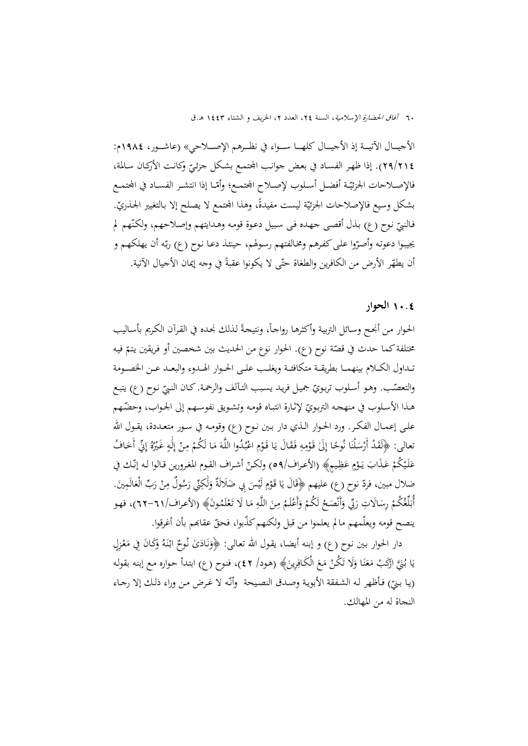الأجيــــال الآتيــــة إذ الأجيــــال كلهــــا ســــواء في نظــــرهم الإصــــلاحي» (عاشــــور، 1984م: ). إذا ظهـر الفسـاد في بعـض جوانـب اجملتمـع بشـکل جزئـي الأرکـان سـالمة، ّ <sup>29</sup>/<sup>214</sup> وکانـت فالإصـلاحات الجزئيّـة أفضـل أسـلوب لإصـلاح المحتمـع؛ وأمّـا إذا انتشـر الفسـاد في المجتمـع بشكل وسيع فالإصلاحات الجزئيّة ليست مفيدةً، وهذا المجتمع لا يصلح إلا بالتغيير الجـذريّ. فالنبيّ نوح (ع) بذل أقصى جهـده فـی سبيل دعـوة قومـه وهـدايتهم وإصـلاحهم، ولكنّهم لم<br>. يجيبوا دعوته وأصرّوا على كفرهم ومخالفتهم رسولهم، حينئذ دعـا نوح (ع) ربّه أن يهلكهم و أن يطهّر الأرض من الكافرين والطغاة حتّى لا يكونوا عقبةً في وجه إيمان الأجيال الآتية.

## 10**.**4 **الحوار**

<u>:</u> الحـوار مـن أنجـح وسـائل التربيـة وأكثرهـا رواجـاً، ونتيجةً لـذلك نجـده في القـرآن الكـريم بأسـاليب مختلفة كما حدث في قصّة نوح (ع). الحوار نوع من الحديث بين شخصين أو فريقين يتمّ فيه تــداول الکــلام بينهمـــا بطريقــة متکافئـــة ويغلــب علــی الحـــوار الهــدوء والبعـــد عــن الخصـــومة والتعصّب. وهـو أسـلوب تربويّ جميـل فريـد يسبب التـآلف والرحمـة. كـان النبيّ نـوح (ع) يتبـع<br>. هـذا الأسـلوب في منهجـه التربـويّ لإثـارة انتبـاه قومـه وتشـويق نفوسـهم إلى الجـواب، وحضّـهم علــى إعمــال الفكــر. ورد الحــوار الــذي دار بــين نــوح (ع) وقومــه في ســور متعــددة، يقــول االله نعالى: ﴿لَقَدْ أَرْسَلْنَا نُوحًا إِلَىٰ قَوْمِهِ فَقَالَ يَا قَوْمِ اعْبُدُوا اللَّهَ مَا لَكُمْ مِنْ إِلَٰهٍ غَيْرُهُ إِنِّي أَخَافُ<br>ِ .<br>. ٍٍٍٍٍٍٍٍٍٍٍٍٍٍٍٍٍٍٍٍ ،<br>، ْ ب ا<br>ا لَ ِ ْ عَلَيْكُمْ عَذَابَ يَوْمٍ عَظِيمٍ﴾ (الأعراف/٥٩م) ولكنّ أشراف القوم المغرورين قالوا له إنّك في َ ْ ضلال مبين، فردّ نوح (ع) عليهم ﴿قَالَ يَا قَوْمِ لَيْسَ بِي ضَلَالَةٌ وَلَٰكِنِّي رَسُولٌ مِنْ رَبِّ الْعَالَمِينَ.<br>ُ ْ ِ لَ ِ<sup>1</sup> أُبَلِّغُكُمْ رِسَالَاتِ رَبِّي وَأَنْصَحُ لَكُمْ وَأَعْلَمُ مِنَ اللَّهِ مَا لَا تَعْلَمُونَ﴾ (الأعراف/٣٦٦-٣٣)، فهو ب<br>ا َ ا<br>أ َ ْ ينصح قومه ويعلّمهم مالم يعلموا من قبل ولكنهم كذّبوا، فحقّ عقابهم بأن أغرقوا.

دار الحوار بين نوح (ع) و إبنه أيضا، يقول الله تعالى: ﴿وَنَادَىٰ نُوحٌ ابْنَهُ وَكَانَ فِي مَعْزِلٍ ن َ ن <u>ب</u><br>. َ ْ  $\overline{a}$ يَا بُنَيَّ ارْكَبْ مَعَنَا وَلَا تَكُنْ مَعَ الْكَافِرِينَ﴾ (هود/ ٤٢)، فنوح (ع) ابتدأ حواره مع إبنه بقوله يا<br>. ن َ (يا بنيّ) فأظهر له الشفقة الأبوية وصدق النصيحة ۖ وأنّه لا غرض من وراء ذلك إلا رجاء النجاة له من المهالك.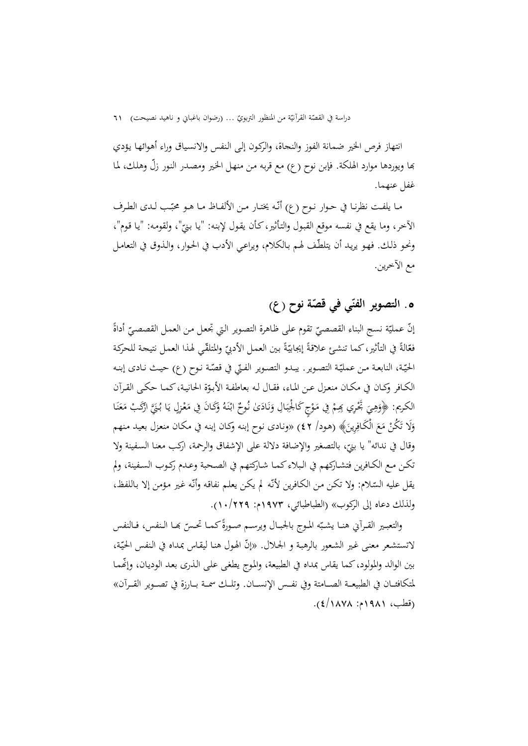دراسة في القصّة القرأنيّة من المنظور التربويّ … (رضوان باغباني و ناهيد نصيحت) 11<br>-

انتهاز فرص الخير ضمانة الفوز والنجاة، والرکـون إلـی الـنفس والانسـياق وراء أهوائهـا يـؤدي đا ويوردها موارد الهلکة. فإبن نوح (ع) مع قربـه مـن منهـل الخـير ومصـدر النـور ّزل وهلـك، لمـا غفل عنهما.

مـا يلفـت نظرنـا في حـوار نـوح (ع) أنّـه يختـار مـن الألفـاظ مـا هـو محبّـب لـدى الطـرف<br>. الآخر، وما يقع في نفسه موقع القبول والتأثير،كأن يقول لإبنه: "يا بنيّ"، ولقومه: "يا قوم"،<br>. ونحـو ذلك. فهـو يريـد أن يتلطّف لهـم بـالكلام، ويراعـي الأدب في الحـوار، والـذوق في التعامـل مع الآخرين.

# **قص .**5 **ة نوح (ع) التصوير الفن ّي في ّ**

إنّ عمليّة نسج البناء القصصيّ تقوم على ظاهرة التصوير التي تجعل من العمل القصصيّ أداةً<br>. فعّالةً في التأثير، كما تنشئ علاقةً إيجابيّةً بين العمل الأدبيّ والمتلقّي لهذا العمل نتيجة للحركة<br>. الحيّـة، النابعـة مـن عـمليّـة التصـوير. يبـدو التصـوير الفـتي في قصّـة نـوح (ع) حيـث نـادى إبنـه الکـافر وکـان في مکـان منعـزل عـن المـاء، فقـال لـه بعاطفـة الأبـوّة الحـانيـة،کمـا حکـی القـرآن<br>. الكريم: ﴿وَهِيَ تَحْرِي بِهِمْ فِي مَوْجِ كَالْجِبَالِ وَنَادَىٰ نُوحٌ ابْنَهُ وَكَانَ فِي مَعْزِلٍ يَا بُنَيَّ اؤَكَبْ مَعَنَا<br>ِ  $\ddot{\cdot}$ ب  $\ddot{\cdot}$ <sup>1</sup> <u>ٔ</u> ن َ ن .<br>. َ ْ ن َ  $\overline{\phantom{a}}$ وَلَا تَكُنْ مَعَ الْكَافِرِينَ﴾ (هود/ ٤٢) «ونادى نوح إبنه وكـان إبنه في مكـان منعزل بعيد منهم َ وقال في ندائه" يا بنيّ، بالتصغير والإضافة دلالة على الإشفاق والرحمة، اركب معنا السفينة ولا تكـن مـع الكـافرين فتشـاركهم في الـبلاءكمـا شـاركتهم في الصـحبة وعـدم ركـوب السـفينة، ولم يقل عليه السّـلام: ولا تكن من الكـافرين لأنّـه لم يكن يعلـم نفاقه وأنّـه غير مؤمن إلا باللفظ، بہ<br>ف ولذلك دعاه إلى الركوب» (الطباطبائي، 1973م: 10/229).

والتعبـير القـرآني هنــا يشـبّه المـوج بالجبـال ويرســم صـورةً كـمـا تحـسّ بهـا الـنفس، فـالنفس لاتستشعر معنى غير الشعور بالرهبة و الجلال. «إنّ الهول هنا ليقاس بمداه في النفس الحيّة،<br>-بين الوالد والمولود،كما يقاس بمداه في الطبيعة، والموج يطغي علمي الـذري بعد الوديـان، وإلّهـمـا لمتکافئـــان في الطبيعـــة الصـــامتة وفي نفـــس الإنســـان. وتلـــك سمـــة بـــارزة في تصـــوير القـــرآن» (قطب، 1981م: 4/1878).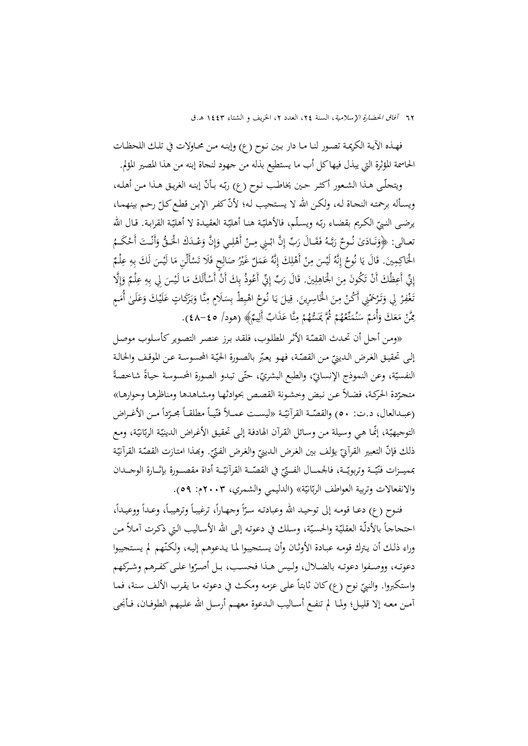فهــذه الآيــة الکريمــة تصــور لنــا مــا دار بــين نــوح (ع) وإبنــه مــن محــاولات في تلــك اللحظــات الحاسمة المؤثرة التي يبذل فيهاکل أب ما يستطيع بذله من جهود لنجاة إبنه من هذا المصير المؤلم.

ويتحلّـى هـذا الشـعور أكثـر حـين يخاطـب نـوح (ع) ربّـه بـأنّ إبنـه الغريـق هـذا مـن أهلـه، ويسـأله برحمته النحـاة لـه، ولكـن الله لا يستحيب لـه؛ لأنّ كفـر الإبـن قطـع كـلّ رحـم بينهمـا،<br>ّ ّـة القرابـة. قـال االله ّـة العقيـدة لا أهلي ّـة هنـا أهلي ـه ويسـلّم، فالأهلي ّ ّ الکـريم بقضـاء رب يرضـی النـبي تعـالى: ﴿وَنَـادَىٰ نُـوحٌ رَبَّـهُ فَقَـالَ رَبِّ إِنَّ ابْـنِي مِـنْ أَهْلِـي وَإِنَّ وَعْـدَكَ الْحَـقُّ وَأَنْـتَ أَحْكَـمُ<br>م ن َ ب إ َ ِالْحَاكِمِينَ. قَالَ يَا نُوحُ إِنَّهُ لَيْسَ مِنْ أَهْلِكَ إِنَّهُ عَمَلٌ غَيْرُ صَالِحٍ فَلَا تَسْأَلْنِ مَا لَيْسَ لَكَ بِهِ عِلْمٌ<br>مَسَيَّمَ الْمَسَوِّرِ مِنْ مَسْمَدَتْهِ مِنْ أَهْلِكَ إِنَّهُ عَمَلٌ غَيْرُ صَالِحٍ ف ِ ِ ِِ ِ إِنِّي أَعِظُكَ أَنْ تَكُونَ مِنَ الْحَاهِلِينَ. قَالَ رَبِّ إِنِّي أَعُوذُ بِكَ أَنْ أَسْأَلَكَ مَا لَيْسَ لِي بِهِ عِلْمٌ وَإِلَّا<br>وَالْجَمَّاطِ الْمَسْلَمِينَ مِنْ الْحَاهِلِينَ. قَالَ رَبِّ إِنِّي أَعُوذُ بِكَ أَنْ أَ ِ ِ ِإ ه<br>و ِ .<br>. نَغْفِرْ لِي وَتَرْحَمْنِي أَكُنْ مِنَ الْخَاسِرِينَ. قِيلَ يَا نُوحُ اهْبِطْ بِسَلَامٍ مِنَّا وَبَرَكَاتٍ عَلَيْكَ وَعَلَىٰ أُمَمٍ<br>. َ َ َ َ **ہ** َ ْ جُنْ مَعَكَ وَأُمَمٌ سَنُمَتَّعُهُمْ ثُمَّ يَمَسُّهُمْ مِنَّا عَذَابٌ أَلِيمٌ﴾ (هود/ ٤٥-٤٨). ِ َ ا<br>ا  $\overline{\phantom{a}}$ ن

«ومن أحل أن تحدث القصّة الأثر المطلوب، فلقد برز عنصر التصوير كأسلوب موصل إلى تحقيق الغرض الدينيّ من القصّـة، فهـو يعبّر بالصورة الحيّـة المحسوسة عـن الموقـف والحالـة<br>- $\ddot{\phantom{a}}$ النفسيّة، وعن النموذج الإنسانيّ، والطبع البشريّ، حتّى تبدو الصورة المحسوسة حياةً شاخصةً متحرّدة الحركـة، فضلاً عـن نبض وخشونة القصص بحوادثهـا ومشـاهدها ومناظرهـا وحوارهـا»<br>. (عبــدالعال، د.ت: ٥٠) والقصّــة القرأنيّــة «ليســت عمــلاً فنّيــاً مطلقــاً مجــرّداً مــن الأغــراض<br>ّ التوجيهيّـة، إنّمـا هي وسيلة من وسـائل القرآن الهادفـة إلـی تحقيـق الأغـراض الدينيّـة الربّانيّـة، ومـع ذلك فإنّ التعبير القرآييّ يؤلف بين الغرض الدينيّ والغرض الفنّيّ. وبَمذا امتازت القصّة القرآنيّة<br>-مميــزات فنّيّــة وتربويّــة، فالجمـــال الفـــنّيّ في القصّــة القرآنيّــة أداة مقصـــورة بإثــارة الوجـــدان<br>. ي والانفعالات وتربية العواطف الربّانيّة» (الدليمي والشمري، ٢٠٠٣م: ٥٩).<br>.

فنوح (ع) دعـا قومـه إلى توحيـد الله وعبادتـه سـرّاً وجهـاراً، ترغيبـاً وترهيبـاً، وعـداً ووعيـداً،<br>. ا فنوح (ع) دعـا قومـه إلى توحيـد الله وعبادتـه سـرّأ وجهـاراً، ترغيبـاً وترهيبـاً، وعـداً ووعيـداً،<br>احتحاجـاً بالأدلّـة العقليّـة والحسيّة، وسلك في دعوته إلى الله الأسـاليب التي ذكـرت آمـلاً مـن وراء ذلك أن يترك قومـه عبـادة الأوثـان وأن يستحيبوا لمـا يـدعوهم إليـه، ولكنّهم لم يستحيبوا دعوتـه، ووصـفوا دعوتـه بالضــلال، ولـيس هــذا فحسـب، بـل أصـرّوا علـى كفـرهم وشـركهم واستكبروا. والنبيّ نوح (ع)كان ثابتاً على عزمه ومكث في دعوته ما يقرب الألف سنة، فما<br>م آمــن معــه إلا قليــل؛ ولمــا لم تنفــع أســاليب الــدعوة معهــم أرســل االله علــيهم الطوفــان، فــأنجى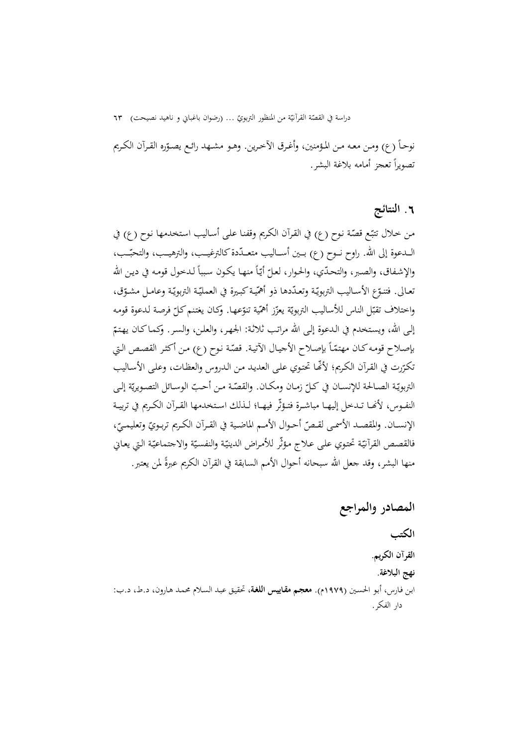دراسة في القصّة القرآنيّة من المنظور التربويّ … (رضوان باغباني و ناهيد نصيحت) ٦٣<br>-

نوحـاً (ع) ومـن معـه مـن المـؤمنين، وأغـرق الأخـرين. وهـو مشــهد رائـع يصـوّره القـرآن الكـريم تصويرا ً تعجز أمامه بلاغة البشر.

## **.**6 **النتائج**

من خلال تتبّع قصّة نوح (ع) في القرآن الكريم وقفنـا علـى أسـاليب استخدمها نوح (ع) في الــدعوة إلى الله. راوح نــوح (ع) بــين أســـاليب متعــدّدة كالترغيــب، والترهيــب، والتحبّــب، والإشفاق، والصبر، والتحدّي، والحوار، لعلّ أيّاً منهـا يكون سبباً لدخول قومه في دين الله نعـالى. فتنـوّع الأسـاليب التربويّـة وتعـدّدها ذو أهمّيـة كبـيرة في العمليّـة التربويّـة وعامـل مشـوّق، واختلاف تقبّل الناس للأساليب التربويّة يعزّز أهمّية تنوّعها. وكـان يغتنم كـلّ فرصة لـدعوة قومـه إلى الله، ويستخدم في الدعوة إلى الله مراتب ثلاثة: الجهر، والعلن، والسر. وكماكـان يهتمّ<br>. بإصلاح قومه كـان مهتمّاً بإصلاح الأجيال الآتية. قصّة نوح (ع) من أكثر القصص التي تكـرّرت في القـرآن الكـريم؛ لألها تحتوي علـى العديـد مـن الـدروس والعظـات، وعلـى الأسـاليب ّ كــل زمــان ومكــان. و ــ ّ التربوي الصـالحة للإنســان في ّــة ّ القص ة مــن أحـب ة إلــی ّ الوســائل التصــويري النفـوس، لأنّحـا تـدخل إليهـا مباشـرة فتـؤثّر فيهـا؛ لـذلك اسـتخدمها القـرآن الكـريم في تربيـة الإنســان. والمقصــد الأسمـى لقـصّ أحـوال الأمـم الماضـية في القـرآن الكـريم تربـويّ وتعليمـيّ،<br>-فالقصص القرأتيّة تحتوي على علاج مؤثّر للأمراض الدينيّة والنفسيّة والاجتماعيّة التي يعاني منها البشر، وقد جعل الله سبحانه أحوال الأمم السابقة في القرآن الكريم عبرةً لمن يعتبر .

**المصادر والمراجع** 

**الکتب القرآن الکريم. نهج البلاغة.**  ابـن فـارس، أبـو الحسـين (1979م). **معجـم مقـاييس اللغـة**، تحقيـق عبـد السـلام محمـد هـارون، د.ط، د.ب: دار الفكر.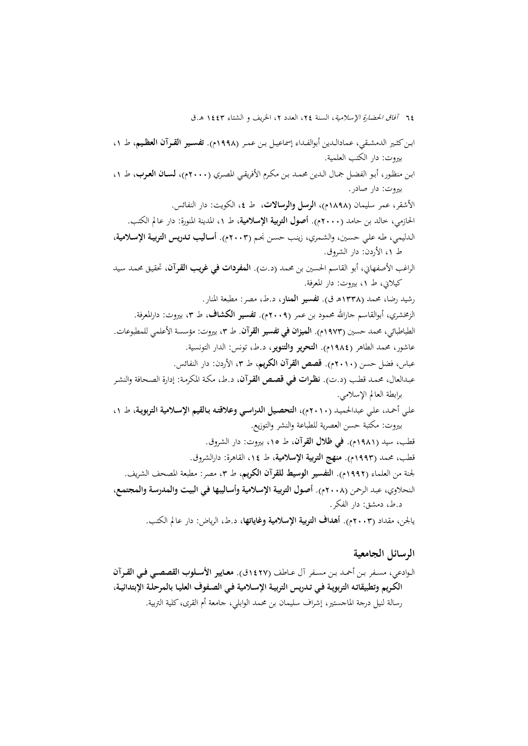ابــنکثــير الدمشــقي، عمادالــدين أبوالفــداء إسماعيــل بــن عمــر (1998م). **تفســير القــرآن العظــيم**، ط ،1 بيروت: دار الکتب العلمية. ابـن منظـور، أبـو الفضـل جمـال الـدين محمـد بـن مكـرم الأفريقـي المصـري (2000م)، **لسـان العـرب**، ط ،1 بيروت: دار صادر. الأشقر، عمر سليمان (1898م)، **الرسل والرسالات**، ط ،4 الکويت: دار النفائس. الحازمي، خالد بن حامد (2000م). **أصول التربية الإسلامية**، ط ،1 المدينة المنورة: دار عالم الکتب. الـدليمي، طـه علـي حسـين، والشـمري، زينـب حسـن نجـم (2003م). **أسـاليب تـدريس التربيـة الإسـلامية**، ط ،1 الأردن: دار الشروق. الراغب الأصفهاني، أبو القاسم الحسين بن محمد (د.ت). **المفردات في غريـب القـرآن**، تحقيـق محمـد سـيد کيلاني، ط ،1 بيروت: دار المعرفة. رشيد رضا، محمد (1338هـ ق). **تفسير المنار**، د.ط، مصر: مطبعة المنار. الزمخشري، أبوالقاسم جارالله محمود بن عمر (٢٠٠٩م). **تفسير الكشاف**، ط ٣، بيروت: دارالمعرفة. الطباطبائي، محمد حسين (1973م). **الميزان في تفسير القرآن**. ط ،3 بيروت: مؤسسة الأعلمي للمطبوعات. عاشور، محمد الطاهر (1984م). **التحرير والتنوير**، د.ط، تونس: الدار التونسية. عباس، فضل حسن (2010م). **قصص القرآن الكريم**، ط ،3 الأردن: دار النفائس. عبـدالعال، محمـد قطـب (د.ت). **نظـرات فـي قصـص القـرآن**، د.ط، مکـة المکرمـة: إدارة الصـحافة والنشـر برابطة العالم الإسلامي. علـي أحمـد، علـي عبدالحميـد (2010م)، **التحصـيل الدراسـي وعلاقتـه بـالقيم الإسـلامية التربويـة**، ط ،1 بيروت: مکتبة حسن العصرية للطباعة والنشر والتوزيع. قطب، سيد (1981م). **في ظلال القرآن**، ط ،15 بيروت: دار الشروق. قطب، محمد (1993م). **منهج التربية الإسلامية**، ط ،14 القاهرة: دارالشروق. لجنة من العلماء (1992م). **التفسير الوسيط للقرآن الکريم**، ط ،3 مصر: مطبعة المصحف الشريف. الـنحلاوي، عبـد الـرحمن (2008م). **أصـول التربيـة الإسـلامية وأسـاليبها فـي البيـت والمدرسـة والمجتمـع**، د.ط، دمشق: دار الفكر. يالجن، مقداد (2003م). **أهداف التربية الإسلامية وغاياتها**، د.ط، الرياض: دار عالم الكتب.

### **الرسائل الجامعية**

الــوادعي، مســفر بــن أحمــد بــن مســفر آل عــاطف (1427ق). **معــايير الأســلوب القصصــي فــي القــرآن الكـريم وتطبيقاتـه التربويـة فـي تـدريس التربيـة الإسـلامية فـي الصـفوف العليـا بالمرحلـة الإبتدائيـة**، رسالة لنيل درجة الماجستير، إشراف سليمان بن محمد الوابلي، جامعة أم القرى،كلية التربية.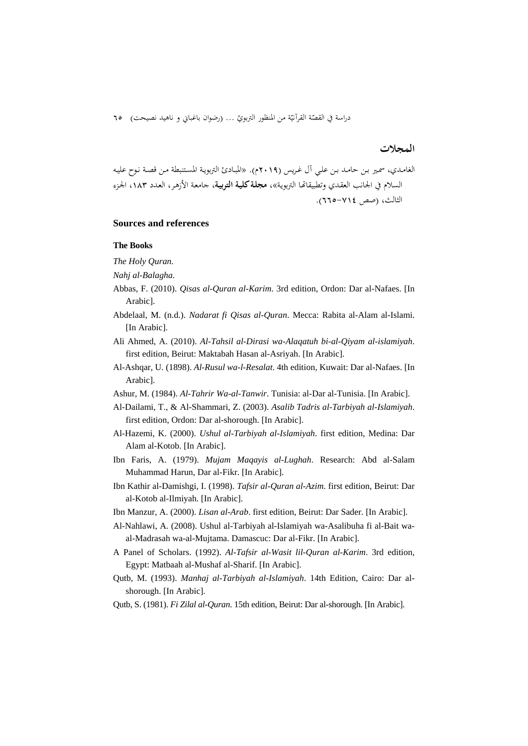دراسة في القصّة القرآنيّة من المنظور التربويّ … (رضوان باغباني و ناهيد نصيحت) 10<br>-

### **المجلات**

الغامـدي، سمـير بـن حامـد بـن علـي آل غـريس (2019م). «المبـادئ التربويـة المسـتنبطة مـن قصـة نـوح عليـه السلام في الجانب العقـدي وتطبيقاēـا التربويـة»، **مجلـةکليـة التربيـة**، جامعـة الأزهـر، العـدد ،183 الجـزء الثالث، (صص 665-714).

#### **Sources and references**

#### **The Books**

*The Holy Quran.* 

*Nahj al-Balagha.* 

- Abbas, F. (2010). *Qisas al-Quran al-Karim*. 3rd edition, Ordon: Dar al-Nafaes. [In Arabic].
- Abdelaal, M. (n.d.). *Nadarat fi Qisas al-Quran*. Mecca: Rabita al-Alam al-Islami. [In Arabic].
- Ali Ahmed, A. (2010). *Al-Tahsil al-Dirasi wa-Alaqatuh bi-al-Qiyam al-islamiyah*. first edition, Beirut: Maktabah Hasan al-Asriyah. [In Arabic].
- Al-Ashqar, U. (1898). *Al-Rusul wa-l-Resalat*. 4th edition, Kuwait: Dar al-Nafaes. [In Arabic].
- Ashur, M. (1984). *Al-Tahrir Wa-al-Tanwir*. Tunisia: al-Dar al-Tunisia. [In Arabic].
- Al-Dailami, T., & Al-Shammari, Z. (2003). *Asalib Tadris al-Tarbiyah al-Islamiyah*. first edition, Ordon: Dar al-shorough. [In Arabic].
- Al-Hazemi, K. (2000). *Ushul al-Tarbiyah al-Islamiyah*. first edition, Medina: Dar Alam al-Kotob. [In Arabic].
- Ibn Faris, A. (1979). *Mujam Maqayis al-Lughah*. Research: Abd al-Salam Muhammad Harun, Dar al-Fikr. [In Arabic].
- Ibn Kathir al-Damishgi, I. (1998). *Tafsir al-Quran al-Azim*. first edition, Beirut: Dar al-Kotob al-Ilmiyah. [In Arabic].
- Ibn Manzur, A. (2000). *Lisan al-Arab*. first edition, Beirut: Dar Sader. [In Arabic].
- Al-Nahlawi, A. (2008). Ushul al-Tarbiyah al-Islamiyah wa-Asalibuha fi al-Bait waal-Madrasah wa-al-Mujtama. Damascuc: Dar al-Fikr. [In Arabic].
- A Panel of Scholars. (1992). *Al-Tafsir al-Wasit lil-Quran al-Karim*. 3rd edition, Egypt: Matbaah al-Mushaf al-Sharif. [In Arabic].
- Qutb, M. (1993). *Manhaj al-Tarbiyah al-Islamiyah*. 14th Edition, Cairo: Dar alshorough. [In Arabic].
- Qutb, S. (1981). *Fi Zilal al-Quran*. 15th edition, Beirut: Dar al-shorough. [In Arabic].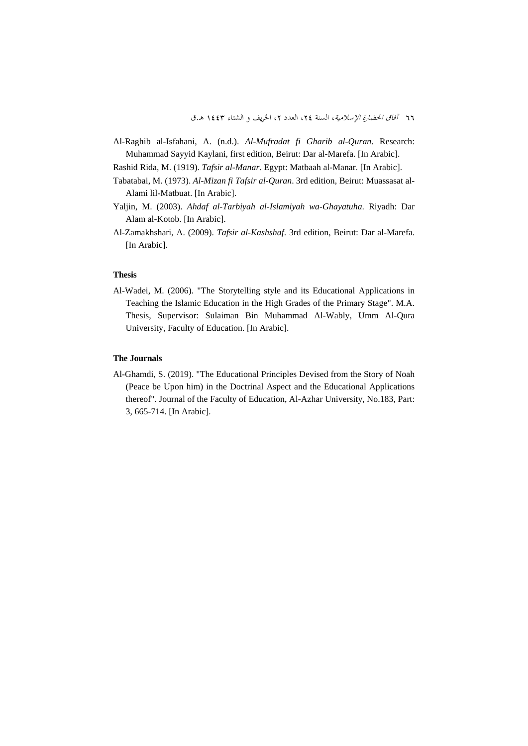Al-Raghib al-Isfahani, A. (n.d.). *Al-Mufradat fi Gharib al-Quran*. Research: Muhammad Sayyid Kaylani, first edition, Beirut: Dar al-Marefa. [In Arabic].

Rashid Rida, M. (1919). *Tafsir al-Manar*. Egypt: Matbaah al-Manar. [In Arabic].

- Tabatabai, M. (1973). *Al-Mizan fi Tafsir al-Quran*. 3rd edition, Beirut: Muassasat al-Alami lil-Matbuat. [In Arabic].
- Yaljin, M. (2003). *Ahdaf al-Tarbiyah al-Islamiyah wa-Ghayatuha*. Riyadh: Dar Alam al-Kotob. [In Arabic].
- Al-Zamakhshari, A. (2009). *Tafsir al-Kashshaf*. 3rd edition, Beirut: Dar al-Marefa. [In Arabic].

#### **Thesis**

Al-Wadei, M. (2006). "The Storytelling style and its Educational Applications in Teaching the Islamic Education in the High Grades of the Primary Stage". M.A. Thesis, Supervisor: Sulaiman Bin Muhammad Al-Wably, Umm Al-Qura University, Faculty of Education. [In Arabic].

### **The Journals**

Al-Ghamdi, S. (2019). "The Educational Principles Devised from the Story of Noah (Peace be Upon him) in the Doctrinal Aspect and the Educational Applications thereof". Journal of the Faculty of Education, Al-Azhar University, No.183, Part: 3, 665-714. [In Arabic].